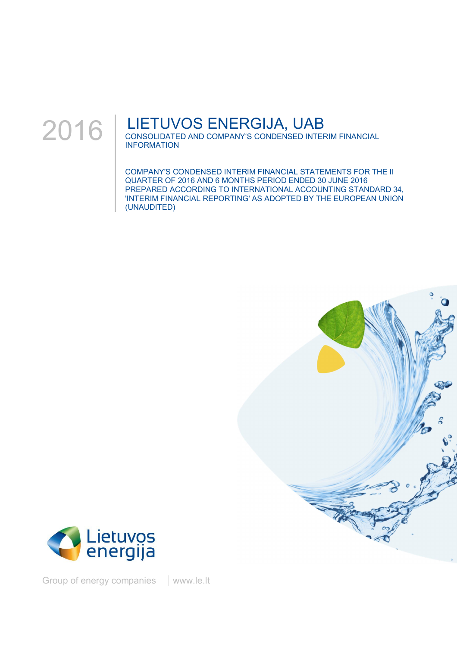

# LIETUVOS ENERGIJA, UAB

CONSOLIDATED AND COMPANY'S CONDENSED INTERIM FINANCIAL INFORMATION

COMPANY'S CONDENSED INTERIM FINANCIAL STATEMENTS FOR THE II QUARTER OF 2016 AND 6 MONTHS PERIOD ENDED 30 JUNE 2016 PREPARED ACCORDING TO INTERNATIONAL ACCOUNTING STANDARD 34, 'INTERIM FINANCIAL REPORTING' AS ADOPTED BY THE EUROPEAN UNION (UNAUDITED)





Group of energy companies | www.le.lt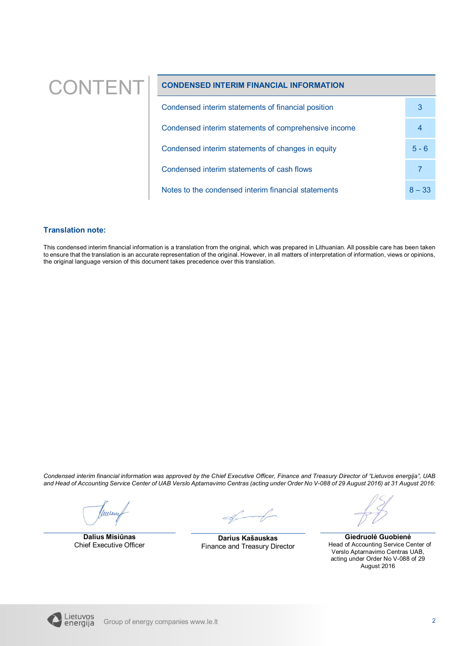# CONTENT **CONDENSED INTERIM FINANCIAL INFORMATION**

| Condensed interim statements of financial position   | 3        |
|------------------------------------------------------|----------|
| Condensed interim statements of comprehensive income | 4        |
| Condensed interim statements of changes in equity    | $5 - 6$  |
| Condensed interim statements of cash flows           |          |
| Notes to the condensed interim financial statements  | $8 - 33$ |

### **Translation note:**

This condensed interim financial information is a translation from the original, which was prepared in Lithuanian. All possible care has been taken to ensure that the translation is an accurate representation of the original. However, in all matters of interpretation of information, views or opinions, the original language version of this document takes precedence over this translation.

*Condensed interim financial information was approved by the Chief Executive Officer, Finance and Treasury Director of "Lietuvos energija", UAB and Head of Accounting Service Center of UAB Verslo Aptarnavimo Centras (acting under Order No V-088 of 29 August 2016) at 31 August 2016:*

Wure

**Dalius Misiūnas** Chief Executive Officer

**Darius Kašauskas** Finance and Treasury Director

**Giedruolė Guobienė** Head of Accounting Service Center of Verslo Aptarnavimo Centras UAB, acting under Order No V-088 of 29 August 2016

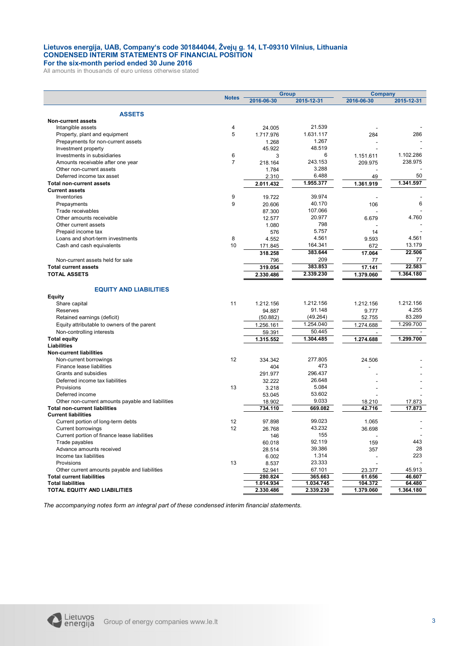### **Lietuvos energija, UAB, Company's code 301844044, Žvejų g. 14, LT-09310 Vilnius, Lithuania CONDENSED INTERIM STATEMENTS OF FINANCIAL POSITION For the six-month period ended 30 June 2016**

All amounts in thousands of euro unless otherwise stated

|                                                   |                |                     | <b>Group</b> | <b>Company</b>           |            |
|---------------------------------------------------|----------------|---------------------|--------------|--------------------------|------------|
|                                                   | <b>Notes</b>   | 2016-06-30          | 2015-12-31   | 2016-06-30               | 2015-12-31 |
|                                                   |                |                     |              |                          |            |
| <b>ASSETS</b><br><b>Non-current assets</b>        |                |                     |              |                          |            |
| Intangible assets                                 | 4              |                     | 21.539       |                          |            |
|                                                   | 5              | 24.005<br>1.717.976 | 1.631.117    |                          | 286        |
| Property, plant and equipment                     |                |                     | 1.267        | 284                      |            |
| Prepayments for non-current assets                |                | 1.268               | 48.519       |                          |            |
| Investment property                               |                | 45.922              |              |                          |            |
| Investments in subsidiaries                       | 6              | 3                   | 6            | 1.151.611                | 1.102.286  |
| Amounts receivable after one year                 | $\overline{7}$ | 218.164             | 243.153      | 209.975                  | 238.975    |
| Other non-current assets                          |                | 1.784               | 3.288        |                          |            |
| Deferred income tax asset                         |                | 2.310               | 6.488        | 49                       | 50         |
| <b>Total non-current assets</b>                   |                | 2.011.432           | 1.955.377    | 1.361.919                | 1.341.597  |
| <b>Current assets</b>                             |                |                     |              |                          |            |
| Inventories                                       | 9              | 19.722              | 39.974       |                          |            |
| Prepayments                                       | 9              | 20.606              | 40.170       | 106                      | 6          |
| Trade receivables                                 |                | 87.300              | 107.066      |                          |            |
| Other amounts receivable                          |                | 12.577              | 20.977       | 6.679                    | 4.760      |
| Other current assets                              |                | 1.080               | 798          |                          |            |
| Prepaid income tax                                |                | 576                 | 5.757        | 14                       |            |
| Loans and short-term investments                  | 8              | 4.552               | 4.561        | 9.593                    | 4.561      |
| Cash and cash equivalents                         | 10             | 171.845             | 164.341      | 672                      | 13.179     |
|                                                   |                | 318.258             | 383.644      | 17.064                   | 22.506     |
| Non-current assets held for sale                  |                | 796                 | 209          | 77                       | 77         |
| <b>Total current assets</b>                       |                | 319.054             | 383.853      | 17.141                   | 22.583     |
| <b>TOTAL ASSETS</b>                               |                | 2.330.486           | 2.339.230    | 1.379.060                | 1.364.180  |
|                                                   |                |                     |              |                          |            |
| <b>EQUITY AND LIABILITIES</b>                     |                |                     |              |                          |            |
| <b>Equity</b>                                     |                |                     |              |                          |            |
| Share capital                                     | 11             | 1.212.156           | 1.212.156    | 1.212.156                | 1.212.156  |
| Reserves                                          |                | 94.887              | 91.148       | 9.777                    | 4.255      |
| Retained earnings (deficit)                       |                |                     | (49.264)     |                          | 83.289     |
|                                                   |                | (50.882)            | 1.254.040    | 52.755                   | 1.299.700  |
| Equity attributable to owners of the parent       |                | 1.256.161           |              | 1.274.688                |            |
| Non-controlling interests                         |                | 59.391              | 50.445       |                          |            |
| <b>Total equity</b>                               |                | 1.315.552           | 1.304.485    | 1.274.688                | 1.299.700  |
| Liabilities                                       |                |                     |              |                          |            |
| <b>Non-current liabilities</b>                    |                |                     |              |                          |            |
| Non-current borrowings                            | 12             | 334.342             | 277.805      | 24.506                   |            |
| Finance lease liabilities                         |                | 404                 | 473          |                          |            |
| Grants and subsidies                              |                | 291.977             | 296.437      |                          |            |
| Deferred income tax liabilities                   |                | 32.222              | 26.648       |                          |            |
| Provisions                                        | 13             | 3.218               | 5.084        |                          |            |
| Deferred income                                   |                | 53.045              | 53.602       |                          |            |
| Other non-current amounts payable and liabilities |                | 18.902              | 9.033        | 18.210                   | 17.873     |
| <b>Total non-current liabilities</b>              |                | 734.110             | 669.082      | 42.716                   | 17.873     |
| <b>Current liabilities</b>                        |                |                     |              |                          |            |
| Current portion of long-term debts                | 12             | 97.898              | 99.023       | 1.065                    |            |
| Current borrowings                                | 12             | 26.768              | 43.232       | 36.698                   |            |
| Current portion of finance lease liabilities      |                | 146                 | 155          |                          |            |
| Trade payables                                    |                | 60.018              | 92.119       | 159                      | 443        |
| Advance amounts received                          |                | 28.514              | 39.386       | 357                      | 28         |
| Income tax liabilities                            |                | 6.002               | 1.314        | $\overline{\phantom{a}}$ | 223        |
| Provisions                                        | 13             | 8.537               | 23.333       |                          |            |
| Other current amounts payable and liabilities     |                | 52.941              | 67.101       | 23.377                   | 45.913     |
| <b>Total current liabilities</b>                  |                | 280.824             | 365.663      | 61.656                   | 46.607     |
| <b>Total liabilities</b>                          |                | 1.014.934           | 1.034.745    | 104.372                  | 64.480     |
| TOTAL EQUITY AND LIABILITIES                      |                | 2.330.486           | 2.339.230    | 1.379.060                | 1.364.180  |
|                                                   |                |                     |              |                          |            |

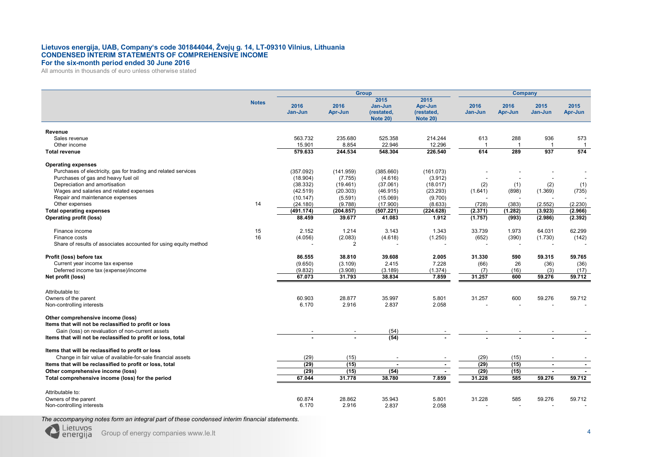### **Lietuvos energija, UAB, Company's code 301844044, Žvejų g. 14, LT-09310 Vilnius, Lithuania CONDENSED INTERIM STATEMENTS OF COMPREHENSIVE INCOME For the six-month period ended 30 June 2016**

All amounts in thousands of euro unless otherwise stated

|                                                                                            |              |                 |                 | Company                                          |                                                  |                 |                          |                          |                 |
|--------------------------------------------------------------------------------------------|--------------|-----------------|-----------------|--------------------------------------------------|--------------------------------------------------|-----------------|--------------------------|--------------------------|-----------------|
|                                                                                            | <b>Notes</b> | 2016<br>Jan-Jun | 2016<br>Apr-Jun | 2015<br>Jan-Jun<br>(restated,<br><b>Note 20)</b> | 2015<br>Apr-Jun<br>(restated,<br><b>Note 20)</b> | 2016<br>Jan-Jun | 2016<br>Apr-Jun          | 2015<br>Jan-Jun          | 2015<br>Apr-Jun |
| Revenue                                                                                    |              |                 |                 |                                                  |                                                  |                 |                          |                          |                 |
| Sales revenue                                                                              |              | 563.732         | 235.680         | 525.358                                          | 214.244                                          | 613             | 288                      | 936                      | 573             |
| Other income                                                                               |              | 15.901          | 8.854           | 22.946                                           | 12.296                                           |                 | 1                        | -1                       | -1              |
| <b>Total revenue</b>                                                                       |              | 579.633         | 244.534         | 548.304                                          | 226.540                                          | 614             | 289                      | 937                      | 574             |
| <b>Operating expenses</b>                                                                  |              |                 |                 |                                                  |                                                  |                 |                          |                          |                 |
| Purchases of electricity, gas for trading and related services                             |              | (357.092)       | (141.959)       | (385.660)                                        | (161.073)                                        |                 |                          |                          |                 |
| Purchases of gas and heavy fuel oil                                                        |              | (18.904)        | (7.755)         | (4.616)                                          | (3.912)                                          |                 |                          |                          |                 |
| Depreciation and amortisation                                                              |              | (38.332)        | (19.461)        | (37.061)                                         | (18.017)                                         | (2)             | (1)                      | (2)                      | (1)             |
| Wages and salaries and related expenses                                                    |              | (42.519)        | (20.303)        | (46.915)                                         | (23.293)                                         | (1.641)         | (898)                    | (1.369)                  | (735)           |
| Repair and maintenance expenses                                                            |              | (10.147)        | (5.591)         | (15.069)                                         | (9.700)                                          |                 |                          |                          |                 |
| Other expenses                                                                             | 14           | (24.180)        | (9.788)         | (17.900)                                         | (8.633)                                          | (728)           | (383)                    | (2.552)                  | (2.230)         |
| <b>Total operating expenses</b>                                                            |              | (491.174)       | (204.857)       | (507.221)                                        | (224.628)                                        | (2.371)         | (1.282)                  | (3.923)                  | (2.966)         |
| <b>Operating profit (loss)</b>                                                             |              | 88.459          | 39.677          | 41.083                                           | 1.912                                            | (1.757)         | (993)                    | (2.986)                  | (2.392)         |
| Finance income                                                                             | 15           | 2.152           | 1.214           | 3.143                                            | 1.343                                            | 33.739          | 1.973                    | 64.031                   | 62.299          |
| Finance costs                                                                              | 16           | (4.056)         | (2.083)         | (4.618)                                          | (1.250)                                          | (652)           | (390)                    | (1.730)                  | (142)           |
| Share of results of associates accounted for using equity method                           |              |                 | $\overline{2}$  |                                                  |                                                  |                 | $\overline{\phantom{a}}$ |                          |                 |
| Profit (loss) before tax                                                                   |              | 86.555          | 38.810          | 39.608                                           | 2.005                                            | 31.330          | 590                      | 59.315                   | 59.765          |
| Current year income tax expense                                                            |              | (9.650)         | (3.109)         | 2.415                                            | 7.228                                            | (66)            | 26                       | (36)                     | (36)            |
| Deferred income tax (expense)/income                                                       |              | (9.832)         | (3.908)         | (3.189)                                          | (1.374)                                          | (7)             | (16)                     | (3)                      | (17)            |
| Net profit (loss)                                                                          |              | 67.073          | 31.793          | 38.834                                           | 7.859                                            | 31.257          | 600                      | 59.276                   | 59.712          |
| Attributable to:                                                                           |              |                 |                 |                                                  |                                                  |                 |                          |                          |                 |
| Owners of the parent                                                                       |              | 60.903          | 28.877          | 35.997                                           | 5.801                                            | 31.257          | 600                      | 59.276                   | 59.712          |
| Non-controlling interests                                                                  |              | 6.170           | 2.916           | 2.837                                            | 2.058                                            |                 |                          |                          |                 |
|                                                                                            |              |                 |                 |                                                  |                                                  |                 |                          |                          |                 |
| Other comprehensive income (loss)<br>Items that will not be reclassified to profit or loss |              |                 |                 |                                                  |                                                  |                 |                          |                          |                 |
| Gain (loss) on revaluation of non-current assets                                           |              |                 |                 | (54)                                             |                                                  |                 |                          |                          |                 |
| Items that will not be reclassified to profit or loss, total                               |              |                 |                 | (54)                                             |                                                  |                 |                          |                          |                 |
| Items that will be reclassified to profit or loss                                          |              |                 |                 |                                                  |                                                  |                 |                          |                          |                 |
| Change in fair value of available-for-sale financial assets                                |              | (29)            | (15)            |                                                  |                                                  | (29)            | (15)                     |                          |                 |
| Items that will be reclassified to profit or loss, total                                   |              | (29)            | (15)            | $\blacksquare$                                   | $\blacksquare$                                   | (29)            | (15)                     | $\blacksquare$           | $\sim$          |
| Other comprehensive income (loss)                                                          |              | (29)            | (15)            | (54)                                             |                                                  | (29)            | (15)                     | $\overline{\phantom{a}}$ | $\sim$          |
| Total comprehensive income (loss) for the period                                           |              | 67.044          | 31.778          | 38.780                                           | 7.859                                            | 31.228          | 585                      | 59.276                   | 59.712          |
|                                                                                            |              |                 |                 |                                                  |                                                  |                 |                          |                          |                 |
| Attributable to:                                                                           |              |                 |                 |                                                  |                                                  |                 |                          |                          |                 |
| Owners of the parent                                                                       |              | 60.874<br>6.170 | 28.862          | 35.943<br>2.837                                  | 5.801<br>2.058                                   | 31.228          | 585                      | 59.276                   | 59.712          |
| Non-controlling interests                                                                  |              |                 | 2.916           |                                                  |                                                  |                 |                          |                          |                 |

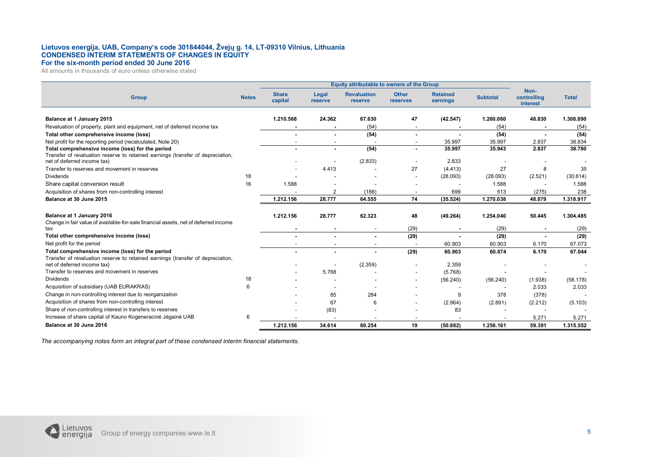### **Lietuvos energija, UAB, Company's code 301844044, Žvejų g. 14, LT-09310 Vilnius, Lithuania CONDENSED INTERIM STATEMENTS OF CHANGES IN EQUITY For the six-month period ended 30 June 2016**

All amounts in thousands of euro unless otherwise stated

|                                                                                                                 |              |                         | <b>Equity attributable to owners of the Group</b> |                               |                          |                             |                  |                                 |                  |  |
|-----------------------------------------------------------------------------------------------------------------|--------------|-------------------------|---------------------------------------------------|-------------------------------|--------------------------|-----------------------------|------------------|---------------------------------|------------------|--|
| <b>Group</b>                                                                                                    | <b>Notes</b> | <b>Share</b><br>capital | Legal<br>reserve                                  | <b>Revaluation</b><br>reserve | <b>Other</b><br>reserves | <b>Retained</b><br>earnings | <b>Subtotal</b>  | Non-<br>controlling<br>interest | <b>Total</b>     |  |
|                                                                                                                 |              |                         |                                                   |                               |                          |                             |                  |                                 |                  |  |
| Balance at 1 January 2015                                                                                       |              | 1.210.568               | 24.362                                            | 67.630                        | 47                       | (42.547)                    | 1.260.060        | 48.830                          | 1.308.890        |  |
| Revaluation of property, plant and equipment, net of deferred income tax                                        |              |                         |                                                   | (54)                          |                          |                             | (54)             |                                 | (54)             |  |
| Total other comprehensive income (loss)                                                                         |              |                         |                                                   | (54)                          | $\blacksquare$           |                             | (54)             | $\overline{\phantom{a}}$        | (54)             |  |
| Net profit for the reporting period (recalculated, Note 20)<br>Total comprehensive income (loss) for the period |              |                         |                                                   | (54)                          |                          | 35.997<br>35.997            | 35.997<br>35.943 | 2.837<br>2.837                  | 38.834<br>38.780 |  |
| Transfer of revaluation reserve to retained earnings (transfer of depreciation,                                 |              |                         |                                                   |                               |                          |                             |                  |                                 |                  |  |
| net of deferred income tax)                                                                                     |              |                         |                                                   | (2.833)                       |                          | 2.833                       |                  |                                 |                  |  |
| Transfer to reserves and movement in reserves                                                                   |              |                         | 4.413                                             |                               | 27                       | (4.413)                     | 27               | 8                               | 35               |  |
| <b>Dividends</b>                                                                                                | 18           |                         |                                                   |                               |                          | (28.093)                    | (28.093)         | (2.521)                         | (30.614)         |  |
| Share capital conversion result                                                                                 | 16           | 1.588                   |                                                   |                               |                          |                             | 1.588            |                                 | 1.588            |  |
| Acquisition of shares from non-controlling interest                                                             |              |                         |                                                   | (188)                         |                          | 699                         | 513              | (275)                           | 238              |  |
| Balance at 30 June 2015                                                                                         |              | 1.212.156               | 28.777                                            | 64.555                        | 74                       | (35.524)                    | 1.270.038        | 48.879                          | 1.318.917        |  |
|                                                                                                                 |              |                         |                                                   |                               |                          |                             |                  |                                 |                  |  |
| Balance at 1 January 2016                                                                                       |              | 1.212.156               | 28.777                                            | 62.323                        | 48                       | (49.264)                    | 1.254.040        | 50.445                          | 1.304.485        |  |
| Change in fair value of available-for-sale financial assets, net of deferred income                             |              |                         |                                                   |                               |                          |                             |                  |                                 |                  |  |
| tax                                                                                                             |              |                         |                                                   |                               | (29)                     |                             | (29)             |                                 | (29)             |  |
| Total other comprehensive income (loss)                                                                         |              |                         |                                                   |                               | (29)                     |                             | (29)             |                                 | (29)             |  |
| Net profit for the period                                                                                       |              |                         |                                                   | $\overline{\phantom{a}}$      |                          | 60.903                      | 60.903           | 6.170                           | 67.073           |  |
| Total comprehensive income (loss) for the period                                                                |              |                         |                                                   | $\blacksquare$                | (29)                     | 60.903                      | 60.874           | 6.170                           | 67.044           |  |
| Transfer of revaluation reserve to retained earnings (transfer of depreciation,                                 |              |                         |                                                   |                               |                          |                             |                  |                                 |                  |  |
| net of deferred income tax)                                                                                     |              |                         |                                                   | (2.359)                       |                          | 2.359                       |                  |                                 |                  |  |
| Transfer to reserves and movement in reserves                                                                   |              |                         | 5.768                                             |                               |                          | (5.768)                     |                  |                                 |                  |  |
| <b>Dividends</b>                                                                                                | 18           |                         |                                                   |                               |                          | (56.240)                    | (56.240)         | (1.938)                         | (58.178)         |  |
| Acquisition of subsidiary (UAB EURAKRAS)                                                                        | 6            |                         |                                                   |                               |                          |                             |                  | 2.033                           | 2.033            |  |
| Change in non-controlling interest due to reorganization                                                        |              |                         | 85                                                | 284                           |                          | 9                           | 378              | (378)                           |                  |  |
| Acquisition of shares from non-controlling interest                                                             |              |                         | 67                                                | 6                             |                          | (2.964)                     | (2.891)          | (2.212)                         | (5.103)          |  |
| Share of non-controlling interest in transfers to reserves                                                      |              |                         | (83)                                              |                               |                          | 83                          |                  |                                 |                  |  |
| Increase of share capital of Kauno Kogeneracinė Jėgainė UAB                                                     | 6            |                         |                                                   |                               |                          |                             |                  | 5.271                           | 5.271            |  |
| Balance at 30 June 2016                                                                                         |              | 1.212.156               | 34.614                                            | 60.254                        | 19                       | (50.882)                    | 1.256.161        | 59.391                          | 1.315.552        |  |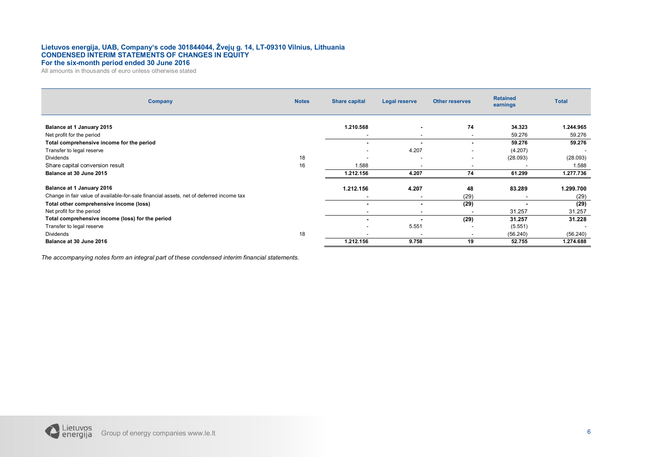### **Lietuvos energija, UAB, Company's code 301844044, Žvejų g. 14, LT-09310 Vilnius, Lithuania CONDENSED INTERIM STATEMENTS OF CHANGES IN EQUITY For the six-month period ended 30 June 2016**

All amounts in thousands of euro unless otherwise stated

| Company                                                                                 | <b>Notes</b> | <b>Share capital</b>     | Legal reserve            | <b>Other reserves</b> | <b>Retained</b><br>earnings | <b>Total</b> |
|-----------------------------------------------------------------------------------------|--------------|--------------------------|--------------------------|-----------------------|-----------------------------|--------------|
| Balance at 1 January 2015                                                               |              | 1.210.568                | $\overline{\phantom{a}}$ | 74                    | 34.323                      | 1.244.965    |
| Net profit for the period                                                               |              |                          |                          |                       | 59.276                      | 59.276       |
| Total comprehensive income for the period                                               |              | $\sim$                   |                          |                       | 59.276                      | 59.276       |
| Transfer to legal reserve                                                               |              | $\overline{\phantom{a}}$ | 4.207                    |                       | (4.207)                     |              |
| <b>Dividends</b>                                                                        | 18           | $\overline{\phantom{a}}$ | $\overline{\phantom{a}}$ | $\sim$                | (28.093)                    | (28.093)     |
| Share capital conversion result                                                         | 16           | 1.588                    | $\overline{\phantom{a}}$ |                       | ٠                           | 1.588        |
| Balance at 30 June 2015                                                                 |              | 1.212.156                | 4.207                    | 74                    | 61.299                      | 1.277.736    |
|                                                                                         |              |                          |                          |                       |                             |              |
| Balance at 1 January 2016                                                               |              | 1.212.156                | 4.207                    | 48                    | 83.289                      | 1.299.700    |
| Change in fair value of available-for-sale financial assets, net of deferred income tax |              | $\overline{\phantom{a}}$ | $\overline{\phantom{a}}$ | (29)                  | $\overline{\phantom{0}}$    | (29)         |
| Total other comprehensive income (loss)                                                 |              | $\blacksquare$           |                          | (29)                  |                             | (29)         |
| Net profit for the period                                                               |              | $\sim$                   | $\overline{\phantom{a}}$ |                       | 31.257                      | 31.257       |
| Total comprehensive income (loss) for the period                                        |              | $\blacksquare$           |                          | (29)                  | 31.257                      | 31.228       |
| Transfer to legal reserve                                                               |              | $\overline{\phantom{a}}$ | 5.551                    |                       | (5.551)                     |              |
| Dividends                                                                               | 18           | $\overline{\phantom{a}}$ | $\overline{\phantom{a}}$ |                       | (56.240)                    | (56.240)     |
| Balance at 30 June 2016                                                                 |              | 1.212.156                | 9.758                    | 19                    | 52.755                      | 1.274.688    |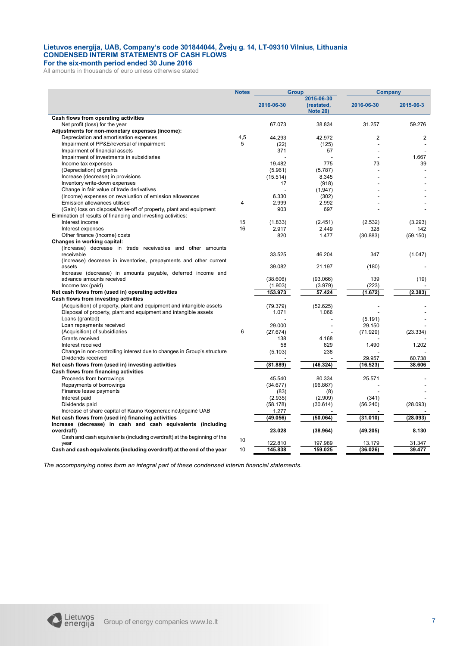### **Lietuvos energija, UAB, Company's code 301844044, Žvejų g. 14, LT-09310 Vilnius, Lithuania CONDENSED INTERIM STATEMENTS OF CASH FLOWS For the six-month period ended 30 June 2016**

All amounts in thousands of euro unless otherwise stated

|                                                                                  | <b>Notes</b><br><b>Group</b> |            | <b>Company</b>                              |            |                |
|----------------------------------------------------------------------------------|------------------------------|------------|---------------------------------------------|------------|----------------|
|                                                                                  |                              | 2016-06-30 | 2015-06-30<br>(restated,<br><b>Note 20)</b> | 2016-06-30 | 2015-06-3      |
| Cash flows from operating activities                                             |                              |            |                                             |            |                |
| Net profit (loss) for the year                                                   |                              | 67.073     | 38.834                                      | 31.257     | 59.276         |
| Adjustments for non-monetary expenses (income):                                  |                              |            |                                             |            |                |
| Depreciation and amortisation expenses                                           | 4,5                          | 44.293     | 42.972                                      | 2          | $\overline{2}$ |
| Impairment of PP&E/reversal of impairment                                        | 5                            | (22)       | (125)                                       |            |                |
| Impairment of financial assets                                                   |                              | 371        | 57                                          |            |                |
| Impairment of investments in subsidiaries                                        |                              |            |                                             |            | 1.667          |
| Income tax expenses                                                              |                              | 19.482     | 775                                         | 73         | 39             |
| (Depreciation) of grants                                                         |                              | (5.961)    | (5.787)                                     |            |                |
| Increase (decrease) in provisions                                                |                              | (15.514)   | 8.345                                       |            |                |
| Inventory write-down expenses                                                    |                              | 17         | (918)                                       |            |                |
| Change in fair value of trade derivatives                                        |                              |            | (1.947)                                     |            |                |
| (Income) expenses on revaluation of emission allowances                          |                              | 6.330      | (302)                                       |            |                |
| Emission allowances utilised                                                     | 4                            | 2.999      | 2.992                                       |            |                |
| (Gain) loss on disposal/write-off of property, plant and equipment               |                              | 903        | 697                                         |            |                |
|                                                                                  |                              |            |                                             |            |                |
| Elimination of results of financing and investing activities:<br>Interest income | 15                           |            |                                             |            |                |
|                                                                                  |                              | (1.833)    | (2.451)                                     | (2.532)    | (3.293)        |
| Interest expenses                                                                | 16                           | 2.917      | 2.449                                       | 328        | 142            |
| Other finance (income) costs                                                     |                              | 820        | 1.477                                       | (30.883)   | (59.150)       |
| Changes in working capital:                                                      |                              |            |                                             |            |                |
| (Increase) decrease in trade receivables and other amounts                       |                              |            |                                             |            |                |
| receivable                                                                       |                              | 33.525     | 46.204                                      | 347        | (1.047)        |
| (Increase) decrease in inventories, prepayments and other current                |                              |            |                                             |            |                |
| assets                                                                           |                              | 39.082     | 21.197                                      | (180)      |                |
| Increase (decrease) in amounts payable, deferred income and                      |                              |            |                                             |            |                |
| advance amounts received                                                         |                              | (38.606)   | (93.066)                                    | 139        | (19)           |
| Income tax (paid)                                                                |                              | (1.903)    | (3.979)                                     | (223)      |                |
| Net cash flows from (used in) operating activities                               |                              | 153.973    | 57.424                                      | (1.672)    | (2.383)        |
| Cash flows from investing activities                                             |                              |            |                                             |            |                |
| (Acquisition) of property, plant and equipment and intangible assets             |                              | (79.379)   | (52.625)                                    |            |                |
| Disposal of property, plant and equipment and intangible assets                  |                              | 1.071      | 1.066                                       |            |                |
| Loans (granted)                                                                  |                              |            |                                             | (5.191)    |                |
| Loan repayments received                                                         |                              | 29.000     |                                             | 29.150     |                |
| (Acquisition) of subsidiaries                                                    | 6                            | (27.674)   |                                             | (71.929)   | (23.334)       |
| Grants received                                                                  |                              | 138        | 4.168                                       |            |                |
| Interest received                                                                |                              | 58         | 829                                         | 1.490      | 1.202          |
| Change in non-controlling interest due to changes in Group's structure           |                              | (5.103)    | 238                                         |            |                |
| Dividends received                                                               |                              |            |                                             | 29.957     | 60.738         |
| Net cash flows from (used in) investing activities                               |                              | (81.889)   | (46.324)                                    | (16.523)   | 38.606         |
| Cash flows from financing activities                                             |                              |            |                                             |            |                |
| Proceeds from borrowings                                                         |                              | 45.540     | 80.334                                      | 25.571     |                |
| Repayments of borrowings                                                         |                              | (34.677)   | (96.867)                                    |            |                |
| Finance lease payments                                                           |                              | (83)       | (8)                                         |            |                |
| Interest paid                                                                    |                              | (2.935)    | (2.909)                                     | (341)      |                |
| Dividends paid                                                                   |                              | (58.178)   | (30.614)                                    | (56.240)   | (28.093)       |
| Increase of share capital of Kauno KogeneracinėJjėgainė UAB                      |                              | 1.277      |                                             |            |                |
| Net cash flows from (used in) financing activities                               |                              | (49.056)   | (50.064)                                    | (31.010)   | (28.093)       |
| Increase (decrease) in cash and cash equivalents (including                      |                              |            |                                             |            |                |
| overdraft)                                                                       |                              | 23.028     | (38.964)                                    | (49.205)   | 8.130          |
| Cash and cash equivalents (including overdraft) at the beginning of the          | 10                           |            |                                             |            |                |
| year                                                                             |                              | 122.810    | 197.989                                     | 13.179     | 31.347         |
| Cash and cash equivalents (including overdraft) at the end of the year           | 10                           | 145.838    | 159.025                                     | (36.026)   | 39.477         |

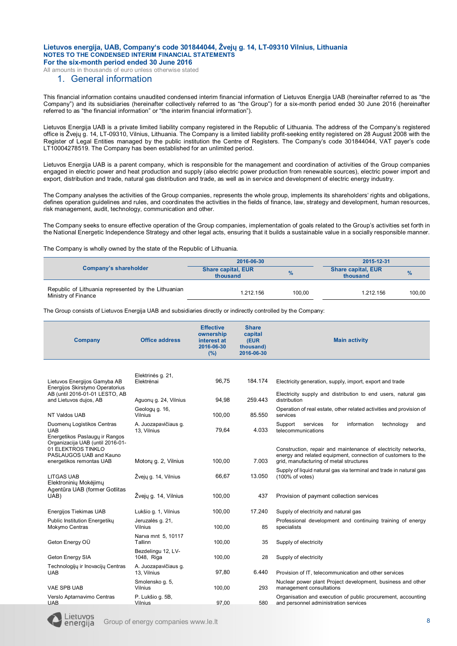All amounts in thousands of euro unless otherwise stated

### 1. General information

This financial information contains unaudited condensed interim financial information of Lietuvos Energija UAB (hereinafter referred to as "the Company") and its subsidiaries (hereinafter collectively referred to as "the Group") for a six-month period ended 30 June 2016 (hereinafter referred to as "the financial information" or "the interim financial information").

Lietuvos Energija UAB is a private limited liability company registered in the Republic of Lithuania. The address of the Company's registered office is Žvejų g. 14, LT-09310, Vilnius, Lithuania. The Company is a limited liability profit-seeking entity registered on 28 August 2008 with the Register of Legal Entities managed by the public institution the Centre of Registers. The Company's code 301844044, VAT payer's code LT10004278519. The Company has been established for an unlimited period.

Lietuvos Energija UAB is a parent company, which is responsible for the management and coordination of activities of the Group companies engaged in electric power and heat production and supply (also electric power production from renewable sources), electric power import and export, distribution and trade, natural gas distribution and trade, as well as in service and development of electric energy industry.

The Company analyses the activities of the Group companies, represents the whole group, implements its shareholders' rights and obligations, defines operation guidelines and rules, and coordinates the activities in the fields of finance, law, strategy and development, human resources, risk management, audit, technology, communication and other.

The Company seeks to ensure effective operation of the Group companies, implementation of goals related to the Group's activities set forth in the National Energetic Independence Strategy and other legal acts, ensuring that it builds a sustainable value in a socially responsible manner.

The Company is wholly owned by the state of the Republic of Lithuania.

|                                                                            | 2016-06-30                            | 2015-12-31 |                                       |               |
|----------------------------------------------------------------------------|---------------------------------------|------------|---------------------------------------|---------------|
| Company's shareholder                                                      | <b>Share capital, EUR</b><br>thousand | $\%$       | <b>Share capital, EUR</b><br>thousand | $\frac{9}{6}$ |
| Republic of Lithuania represented by the Lithuanian<br>Ministry of Finance | 1.212.156                             | 100.00     | 1.212.156                             | 100.00        |

The Group consists of Lietuvos Energija UAB and subsidiaries directly or indirectly controlled by the Company:

| <b>Company</b>                                                                                                | <b>Office address</b>               | <b>Effective</b><br>ownership<br>interest at<br>2016-06-30<br>(%) | <b>Share</b><br>capital<br>(EUR<br>thousand)<br>2016-06-30 | <b>Main activity</b>                                                                                                                                                     |
|---------------------------------------------------------------------------------------------------------------|-------------------------------------|-------------------------------------------------------------------|------------------------------------------------------------|--------------------------------------------------------------------------------------------------------------------------------------------------------------------------|
|                                                                                                               |                                     |                                                                   |                                                            |                                                                                                                                                                          |
| Lietuvos Energijos Gamyba AB<br>Energijos Skirstymo Operatorius                                               | Elektrinės g. 21,<br>Elektrėnai     | Electricity generation, supply, import, export and trade          |                                                            |                                                                                                                                                                          |
| AB (until 2016-01-01 LESTO, AB<br>and Lietuvos dujos, AB                                                      | Aguony g. 24, Vilnius               | 94,98                                                             | 259.443                                                    | Electricity supply and distribution to end users, natural gas<br>distribution                                                                                            |
| NT Valdos UAB                                                                                                 | Geology g. 16,<br>Vilnius           | 100,00                                                            | 85.550                                                     | Operation of real estate, other related activities and provision of<br>services                                                                                          |
| Duomenų Logistikos Centras<br><b>UAB</b><br>Energetikos Paslaugų ir Rangos                                    | A. Juozapavičiaus q.<br>13, Vilnius | 79,64                                                             | 4.033                                                      | Support<br>for<br>information<br>technology<br>services<br>and<br>telecommunications                                                                                     |
| Organizacija UAB (until 2016-01-<br>01 ELEKTROS TINKLO<br>PASLAUGOS UAB and Kauno<br>energetikos remontas UAB | Motory g. 2, Vilnius                | 100,00                                                            | 7.003                                                      | Construction, repair and maintenance of electricity networks,<br>energy and related equipment, connection of customers to the<br>grid, manufacturing of metal structures |
| <b>LITGAS UAB</b><br>Elektroninių Mokėjimų                                                                    | Žvejų g. 14, Vilnius                | 66,67                                                             | 13.050                                                     | Supply of liquid natural gas via terminal and trade in natural gas<br>(100% of votes)                                                                                    |
| Agentūra UAB (former Gotlitas<br>UAB)                                                                         | Žveju g. 14, Vilnius                | 100,00                                                            | 437                                                        | Provision of payment collection services                                                                                                                                 |
| Energijos Tiekimas UAB                                                                                        | Lukšio g. 1, Vilnius                | 100,00                                                            | 17.240                                                     | Supply of electricity and natural gas                                                                                                                                    |
| Public Institution Energetikų<br>Mokymo Centras                                                               | Jeruzalės g. 21,<br>Vilnius         | 100,00                                                            | 85                                                         | Professional development and continuing training of energy<br>specialists                                                                                                |
| Geton Energy OÜ                                                                                               | Narva mnt 5, 10117<br>Tallinn       | 100,00                                                            | 35                                                         | Supply of electricity                                                                                                                                                    |
| Geton Energy SIA                                                                                              | Bezdelingu 12, LV-<br>1048, Riga    | 100,00                                                            | 28                                                         | Supply of electricity                                                                                                                                                    |
| Technologijų ir Inovacijų Centras<br><b>UAB</b>                                                               | A. Juozapavičiaus g.<br>13, Vilnius | 97,80                                                             | 6.440                                                      | Provision of IT, telecommunication and other services                                                                                                                    |
| VAE SPB UAB                                                                                                   | Smolensko g. 5,<br>Vilnius          | 100,00                                                            | 293                                                        | Nuclear power plant Project development, business and other<br>management consultations                                                                                  |
| Verslo Aptarnavimo Centras<br><b>UAB</b>                                                                      | P. Lukšio g. 5B,<br><b>Vilnius</b>  | 97.00                                                             | 580                                                        | Organisation and execution of public procurement, accounting<br>and personnel administration services                                                                    |

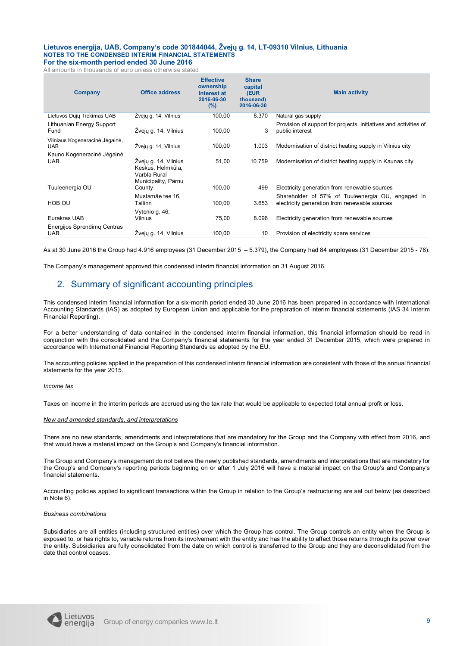All amounts in thousands of euro unless otherwise stated

| Company                                      | <b>Office address</b>                                                            | <b>Effective</b><br>ownership<br>interest at<br>2016-06-30<br>(%) | <b>Share</b><br>capital<br>(EUR<br>thousand)<br>2016-06-30 | <b>Main activity</b>                                                                               |
|----------------------------------------------|----------------------------------------------------------------------------------|-------------------------------------------------------------------|------------------------------------------------------------|----------------------------------------------------------------------------------------------------|
| Lietuvos Dujų Tiekimas UAB                   | Žvejų g. 14, Vilnius                                                             | 100,00                                                            | 8.370                                                      | Natural gas supply                                                                                 |
| Lithuanian Energy Support<br>Fund            | Žveju g. 14, Vilnius                                                             | 100,00                                                            | 3                                                          | Provision of support for projects, initiatives and activities of<br>public interest                |
| Vilniaus Kogeneracinė Jėgainė,<br><b>UAB</b> | Žvejų g. 14, Vilnius                                                             | 100,00                                                            | 1.003                                                      | Modernisation of district heating supply in Vilnius city                                           |
| Kauno Kogeneracinė Jėgainė<br><b>UAB</b>     | Žvejų g. 14, Vilnius<br>Keskus, Helmküla,<br>Varbla Rural<br>Municipality, Pärnu | 51,00                                                             | 10.759                                                     | Modernisation of district heating supply in Kaunas city                                            |
| Tuuleenergia OU                              | County                                                                           | 100,00                                                            | 499                                                        | Electricity generation from renewable sources                                                      |
| HOB OU                                       | Mustamäe tee 16,<br>Tallinn                                                      | 100,00                                                            | 3.653                                                      | Shareholder of 57% of Tuuleenergia OU, engaged in<br>electricity generation from renewable sources |
| Eurakras UAB                                 | Vytenio q. 46,<br>Vilnius                                                        | 75,00                                                             | 8.096                                                      | Electricity generation from renewable sources                                                      |
| Energijos Sprendimų Centras<br><b>UAB</b>    | Zvejų g. 14, Vilnius                                                             | 100,00                                                            | 10                                                         | Provision of electricity spare services                                                            |

As at 30 June 2016 the Group had 4.916 employees (31 December 2015 – 5.379), the Company had 84 employees (31 December 2015 - 78).

The Company's management approved this condensed interim financial information on 31 August 2016.

### 2. Summary of significant accounting principles

This condensed interim financial information for a six-month period ended 30 June 2016 has been prepared in accordance with International Accounting Standards (IAS) as adopted by European Union and applicable for the preparation of interim financial statements (IAS 34 Interim Financial Reporting).

For a better understanding of data contained in the condensed interim financial information, this financial information should be read in conjunction with the consolidated and the Company's financial statements for the year ended 31 December 2015, which were prepared in accordance with International Financial Reporting Standards as adopted by the EU.

The accounting policies applied in the preparation of this condensed interim financial information are consistent with those of the annual financial statements for the year 2015.

### *Income tax*

Taxes on income in the interim periods are accrued using the tax rate that would be applicable to expected total annual profit or loss.

### *New and amended standards, and interpretations*

There are no new standards, amendments and interpretations that are mandatory for the Group and the Company with effect from 2016, and that would have a material impact on the Group's and Company's financial information.

The Group and Company's management do not believe the newly published standards, amendments and interpretations that are mandatory for the Group's and Company's reporting periods beginning on or after 1 July 2016 will have a material impact on the Group's and Company's financial statements.

Accounting policies applied to significant transactions within the Group in relation to the Group's restructuring are set out below (as described in Note 6).

### *Business combinations*

Subsidiaries are all entities (including structured entities) over which the Group has control. The Group controls an entity when the Group is exposed to, or has rights to, variable returns from its involvement with the entity and has the ability to affect those returns through its power over the entity. Subsidiaries are fully consolidated from the date on which control is transferred to the Group and they are deconsolidated from the date that control ceases.

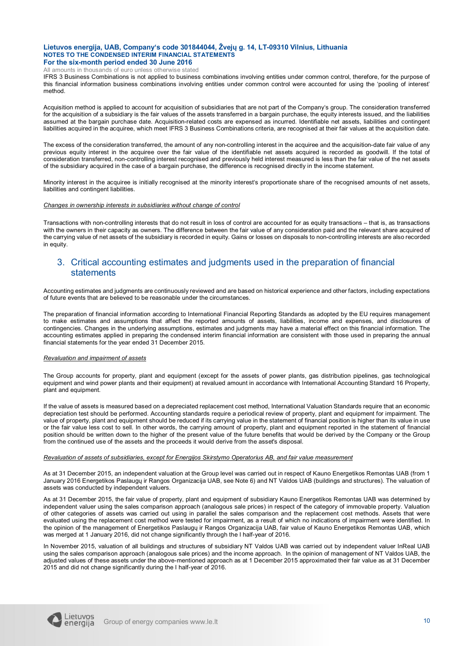All amounts in thousands of euro unless otherwise stated

IFRS 3 Business Combinations is not applied to business combinations involving entities under common control, therefore, for the purpose of this financial information business combinations involving entities under common control were accounted for using the 'pooling of interest' method.

Acquisition method is applied to account for acquisition of subsidiaries that are not part of the Company's group. The consideration transferred for the acquisition of a subsidiary is the fair values of the assets transferred in a bargain purchase, the equity interests issued, and the liabilities assumed at the bargain purchase date. Acquisition-related costs are expensed as incurred. Identifiable net assets, liabilities and contingent liabilities acquired in the acquiree, which meet IFRS 3 Business Combinations criteria, are recognised at their fair values at the acquisition date.

The excess of the consideration transferred, the amount of any non-controlling interest in the acquiree and the acquisition-date fair value of any previous equity interest in the acquiree over the fair value of the identifiable net assets acquired is recorded as goodwill. If the total of consideration transferred, non-controlling interest recognised and previously held interest measured is less than the fair value of the net assets of the subsidiary acquired in the case of a bargain purchase, the difference is recognised directly in the income statement.

Minority interest in the acquiree is initially recognised at the minority interest's proportionate share of the recognised amounts of net assets, liabilities and contingent liabilities.

#### *Changes in ownership interests in subsidiaries without change of control*

Transactions with non-controlling interests that do not result in loss of control are accounted for as equity transactions – that is, as transactions with the owners in their capacity as owners. The difference between the fair value of any consideration paid and the relevant share acquired of the carrying value of net assets of the subsidiary is recorded in equity. Gains or losses on disposals to non-controlling interests are also recorded in equity.

### 3. Critical accounting estimates and judgments used in the preparation of financial statements

Accounting estimates and judgments are continuously reviewed and are based on historical experience and other factors, including expectations of future events that are believed to be reasonable under the circumstances.

The preparation of financial information according to International Financial Reporting Standards as adopted by the EU requires management to make estimates and assumptions that affect the reported amounts of assets, liabilities, income and expenses, and disclosures of contingencies. Changes in the underlying assumptions, estimates and judgments may have a material effect on this financial information. The accounting estimates applied in preparing the condensed interim financial information are consistent with those used in preparing the annual financial statements for the year ended 31 December 2015.

### *Revaluation and impairment of assets*

The Group accounts for property, plant and equipment (except for the assets of power plants, gas distribution pipelines, gas technological equipment and wind power plants and their equipment) at revalued amount in accordance with International Accounting Standard 16 Property, plant and equipment.

If the value of assets is measured based on a depreciated replacement cost method, International Valuation Standards require that an economic depreciation test should be performed. Accounting standards require a periodical review of property, plant and equipment for impairment. The value of property, plant and equipment should be reduced if its carrying value in the statement of financial position is higher than its value in use or the fair value less cost to sell. In other words, the carrying amount of property, plant and equipment reported in the statement of financial position should be written down to the higher of the present value of the future benefits that would be derived by the Company or the Group from the continued use of the assets and the proceeds it would derive from the asset's disposal.

### *Revaluation of assets of subsidiaries, except for Energijos Skirstymo Operatorius AB, and fair value measurement*

As at 31 December 2015, an independent valuation at the Group level was carried out in respect of Kauno Energetikos Remontas UAB (from 1 January 2016 Energetikos Paslaugų ir Rangos Organizacija UAB, see Note 6) and NT Valdos UAB (buildings and structures). The valuation of assets was conducted by independent valuers.

As at 31 December 2015, the fair value of property, plant and equipment of subsidiary Kauno Energetikos Remontas UAB was determined by independent valuer using the sales comparison approach (analogous sale prices) in respect of the category of immovable property. Valuation of other categories of assets was carried out using in parallel the sales comparison and the replacement cost methods. Assets that were evaluated using the replacement cost method were tested for impairment, as a result of which no indications of impairment were identified. In the opinion of the management of Energetikos Paslaugų ir Rangos Organizacija UAB, fair value of Kauno Energetikos Remontas UAB, which was merged at 1 January 2016, did not change significantly through the I half-year of 2016.

In November 2015, valuation of all buildings and structures of subsidiary NT Valdos UAB was carried out by independent valuer InReal UAB using the sales comparison approach (analogous sale prices) and the income approach. In the opinion of management of NT Valdos UAB, the adjusted values of these assets under the above-mentioned approach as at 1 December 2015 approximated their fair value as at 31 December 2015 and did not change significantly during the I half-year of 2016.

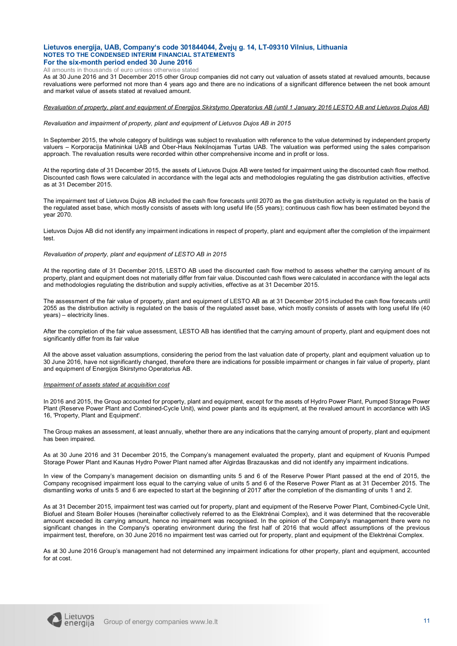All amounts in thousands of euro unless otherwise stated

As at 30 June 2016 and 31 December 2015 other Group companies did not carry out valuation of assets stated at revalued amounts, because revaluations were performed not more than 4 years ago and there are no indications of a significant difference between the net book amount and market value of assets stated at revalued amount.

#### *Revaluation of property, plant and equipment of Energijos Skirstymo Operatorius AB (until 1 January 2016 LESTO AB and Lietuvos Dujos AB)*

#### *Revaluation and impairment of property, plant and equipment of Lietuvos Dujos AB in 2015*

In September 2015, the whole category of buildings was subject to revaluation with reference to the value determined by independent property valuers – Korporacija Matininkai UAB and Ober-Haus Nekilnojamas Turtas UAB. The valuation was performed using the sales comparison approach. The revaluation results were recorded within other comprehensive income and in profit or loss.

At the reporting date of 31 December 2015, the assets of Lietuvos Dujos AB were tested for impairment using the discounted cash flow method. Discounted cash flows were calculated in accordance with the legal acts and methodologies regulating the gas distribution activities, effective as at 31 December 2015.

The impairment test of Lietuvos Dujos AB included the cash flow forecasts until 2070 as the gas distribution activity is regulated on the basis of the regulated asset base, which mostly consists of assets with long useful life (55 years); continuous cash flow has been estimated beyond the year 2070.

Lietuvos Dujos AB did not identify any impairment indications in respect of property, plant and equipment after the completion of the impairment test.

#### *Revaluation of property, plant and equipment of LESTO AB in 2015*

At the reporting date of 31 December 2015, LESTO AB used the discounted cash flow method to assess whether the carrying amount of its property, plant and equipment does not materially differ from fair value. Discounted cash flows were calculated in accordance with the legal acts and methodologies regulating the distribution and supply activities, effective as at 31 December 2015.

The assessment of the fair value of property, plant and equipment of LESTO AB as at 31 December 2015 included the cash flow forecasts until 2055 as the distribution activity is regulated on the basis of the regulated asset base, which mostly consists of assets with long useful life (40 years) – electricity lines.

After the completion of the fair value assessment, LESTO AB has identified that the carrying amount of property, plant and equipment does not significantly differ from its fair value

All the above asset valuation assumptions, considering the period from the last valuation date of property, plant and equipment valuation up to 30 June 2016, have not significantly changed, therefore there are indications for possible impairment or changes in fair value of property, plant and equipment of Energijos Skirstymo Operatorius AB.

#### *Impairment of assets stated at acquisition cost*

In 2016 and 2015, the Group accounted for property, plant and equipment, except for the assets of Hydro Power Plant, Pumped Storage Power Plant (Reserve Power Plant and Combined-Cycle Unit), wind power plants and its equipment, at the revalued amount in accordance with IAS 16, 'Property, Plant and Equipment'.

The Group makes an assessment, at least annually, whether there are any indications that the carrying amount of property, plant and equipment has been impaired.

As at 30 June 2016 and 31 December 2015, the Company's management evaluated the property, plant and equipment of Kruonis Pumped Storage Power Plant and Kaunas Hydro Power Plant named after Algirdas Brazauskas and did not identify any impairment indications.

In view of the Company's management decision on dismantling units 5 and 6 of the Reserve Power Plant passed at the end of 2015, the Company recognised impairment loss equal to the carrying value of units 5 and 6 of the Reserve Power Plant as at 31 December 2015. The dismantling works of units 5 and 6 are expected to start at the beginning of 2017 after the completion of the dismantling of units 1 and 2.

As at 31 December 2015, impairment test was carried out for property, plant and equipment of the Reserve Power Plant, Combined-Cycle Unit, Biofuel and Steam Boiler Houses (hereinafter collectively referred to as the Elektrėnai Complex), and it was determined that the recoverable amount exceeded its carrying amount, hence no impairment was recognised. In the opinion of the Company's management there were no significant changes in the Company's operating environment during the first half of 2016 that would affect assumptions of the previous impairment test, therefore, on 30 June 2016 no impairment test was carried out for property, plant and equipment of the Elektrėnai Complex.

As at 30 June 2016 Group's management had not determined any impairment indications for other property, plant and equipment, accounted for at cost.

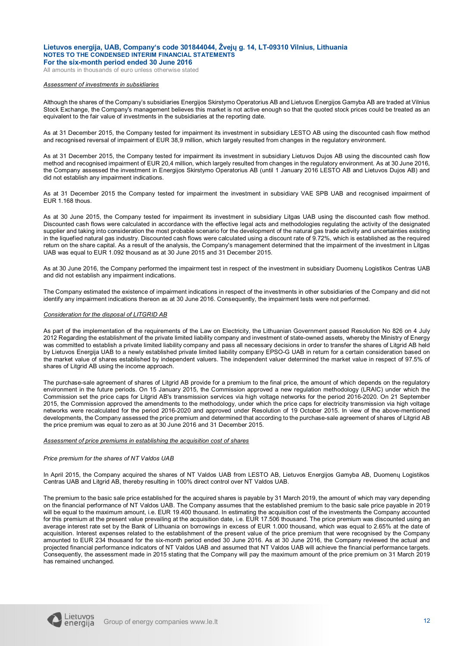All amounts in thousands of euro unless otherwise stated

#### *Assessment of investments in subsidiaries*

Although the shares of the Company's subsidiaries Energijos Skirstymo Operatorius AB and Lietuvos Energijos Gamyba AB are traded at Vilnius Stock Exchange, the Company's management believes this market is not active enough so that the quoted stock prices could be treated as an equivalent to the fair value of investments in the subsidiaries at the reporting date.

As at 31 December 2015, the Company tested for impairment its investment in subsidiary LESTO AB using the discounted cash flow method and recognised reversal of impairment of EUR 38,9 million, which largely resulted from changes in the regulatory environment.

As at 31 December 2015, the Company tested for impairment its investment in subsidiary Lietuvos Dujos AB using the discounted cash flow method and recognised impairment of EUR 20,4 million, which largely resulted from changes in the regulatory environment. As at 30 June 2016, the Company assessed the investment in Energijos Skirstymo Operatorius AB (until 1 January 2016 LESTO AB and Lietuvos Dujos AB) and did not establish any impairment indications.

As at 31 December 2015 the Company tested for impairment the investment in subsidiary VAE SPB UAB and recognised impairment of EUR 1.168 thous.

As at 30 June 2015, the Company tested for impairment its investment in subsidiary Litgas UAB using the discounted cash flow method. Discounted cash flows were calculated in accordance with the effective legal acts and methodologies regulating the activity of the designated supplier and taking into consideration the most probable scenario for the development of the natural gas trade activity and uncertainties existing in the liquefied natural gas industry. Discounted cash flows were calculated using a discount rate of 9.72%, which is established as the required return on the share capital. As a result of the analysis, the Company's management determined that the impairment of the investment in Litgas UAB was equal to EUR 1.092 thousand as at 30 June 2015 and 31 December 2015.

As at 30 June 2016, the Company performed the impairment test in respect of the investment in subsidiary Duomenų Logistikos Centras UAB and did not establish any impairment indications.

The Company estimated the existence of impairment indications in respect of the investments in other subsidiaries of the Company and did not identify any impairment indications thereon as at 30 June 2016. Consequently, the impairment tests were not performed.

### *Consideration for the disposal of LITGRID AB*

As part of the implementation of the requirements of the Law on Electricity, the Lithuanian Government passed Resolution No 826 on 4 July 2012 Regarding the establishment of the private limited liability company and investment of state-owned assets, whereby the Ministry of Energy was committed to establish a private limited liability company and pass all necessary decisions in order to transfer the shares of Litgrid AB held by Lietuvos Energija UAB to a newly established private limited liability company EPSO-G UAB in return for a certain consideration based on the market value of shares established by independent valuers. The independent valuer determined the market value in respect of 97.5% of shares of Litgrid AB using the income approach.

The purchase-sale agreement of shares of Litgrid AB provide for a premium to the final price, the amount of which depends on the regulatory environment in the future periods. On 15 January 2015, the Commission approved a new regulation methodology (LRAIC) under which the Commission set the price caps for Litgrid AB's transmission services via high voltage networks for the period 2016-2020. On 21 September 2015, the Commission approved the amendments to the methodology, under which the price caps for electricity transmission via high voltage networks were recalculated for the period 2016-2020 and approved under Resolution of 19 October 2015. In view of the above-mentioned developments, the Company assessed the price premium and determined that according to the purchase-sale agreement of shares of Litgrid AB the price premium was equal to zero as at 30 June 2016 and 31 December 2015.

#### *Assessment of price premiums in establishing the acquisition cost of shares*

#### *Price premium for the shares of NT Valdos UAB*

In April 2015, the Company acquired the shares of NT Valdos UAB from LESTO AB, Lietuvos Energijos Gamyba AB, Duomenų Logistikos Centras UAB and Litgrid AB, thereby resulting in 100% direct control over NT Valdos UAB.

The premium to the basic sale price established for the acquired shares is payable by 31 March 2019, the amount of which may vary depending on the financial performance of NT Valdos UAB. The Company assumes that the established premium to the basic sale price payable in 2019 will be equal to the maximum amount, i.e. EUR 19.400 thousand. In estimating the acquisition cost of the investments the Company accounted for this premium at the present value prevailing at the acquisition date, i.e. EUR 17.506 thousand. The price premium was discounted using an average interest rate set by the Bank of Lithuania on borrowings in excess of EUR 1.000 thousand, which was equal to 2.65% at the date of acquisition. Interest expenses related to the establishment of the present value of the price premium that were recognised by the Company amounted to EUR 234 thousand for the six-month period ended 30 June 2016. As at 30 June 2016, the Company reviewed the actual and projected financial performance indicators of NT Valdos UAB and assumed that NT Valdos UAB will achieve the financial performance targets. Consequently, the assessment made in 2015 stating that the Company will pay the maximum amount of the price premium on 31 March 2019 has remained unchanged.

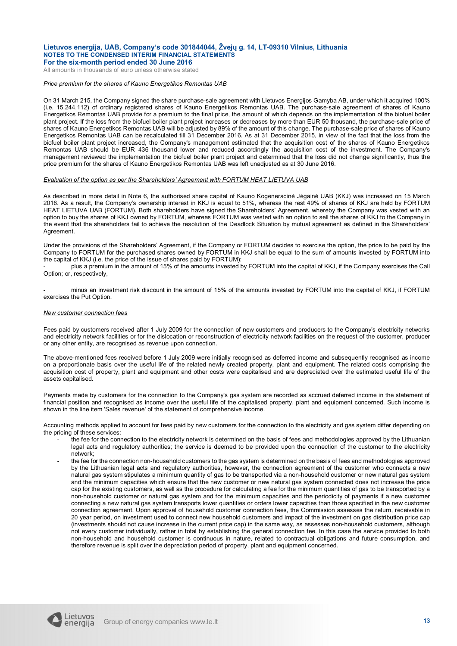All amounts in thousands of euro unless otherwise stated

#### *Price premium for the shares of Kauno Energetikos Remontas UAB*

On 31 March 215, the Company signed the share purchase-sale agreement with Lietuvos Energijos Gamyba AB, under which it acquired 100% (i.e. 15.244.112) of ordinary registered shares of Kauno Energetikos Remontas UAB. The purchase-sale agreement of shares of Kauno Energetikos Remontas UAB provide for a premium to the final price, the amount of which depends on the implementation of the biofuel boiler plant project. If the loss from the biofuel boiler plant project increases or decreases by more than EUR 50 thousand, the purchase-sale price of shares of Kauno Energetikos Remontas UAB will be adjusted by 89% of the amount of this change. The purchase-sale price of shares of Kauno Energetikos Remontas UAB can be recalculated till 31 December 2016. As at 31 December 2015, in view of the fact that the loss from the biofuel boiler plant project increased, the Company's management estimated that the acquisition cost of the shares of Kauno Energetikos Remontas UAB should be EUR 436 thousand lower and reduced accordingly the acquisition cost of the investment. The Company's management reviewed the implementation the biofuel boiler plant project and determined that the loss did not change significantly, thus the price premium for the shares of Kauno Energetikos Remontas UAB was left unadjusted as at 30 June 2016.

### *Evaluation of the option as per the Shareholders' Agreement with FORTUM HEAT LIETUVA UAB*

As described in more detail in Note 6, the authorised share capital of Kauno Kogeneracinė Jėgainė UAB (KKJ) was increased on 15 March 2016. As a result, the Company's ownership interest in KKJ is equal to 51%, whereas the rest 49% of shares of KKJ are held by FORTUM HEAT LIETUVA UAB (FORTUM). Both shareholders have signed the Shareholders' Agreement, whereby the Company was vested with an option to buy the shares of KKJ owned by FORTUM, whereas FORTUM was vested with an option to sell the shares of KKJ to the Company in the event that the shareholders fail to achieve the resolution of the Deadlock Situation by mutual agreement as defined in the Shareholders' **Agreement** 

Under the provisions of the Shareholders' Agreement, if the Company or FORTUM decides to exercise the option, the price to be paid by the Company to FORTUM for the purchased shares owned by FORTUM in KKJ shall be equal to the sum of amounts invested by FORTUM into the capital of KKJ (i.e. the price of the issue of shares paid by FORTUM):

- plus a premium in the amount of 15% of the amounts invested by FORTUM into the capital of KKJ, if the Company exercises the Call Option; or, respectively,

minus an investment risk discount in the amount of 15% of the amounts invested by FORTUM into the capital of KKJ, if FORTUM exercises the Put Option.

#### *New customer connection fees*

Fees paid by customers received after 1 July 2009 for the connection of new customers and producers to the Company's electricity networks and electricity network facilities or for the dislocation or reconstruction of electricity network facilities on the request of the customer, producer or any other entity, are recognised as revenue upon connection.

The above-mentioned fees received before 1 July 2009 were initially recognised as deferred income and subsequently recognised as income on a proportionate basis over the useful life of the related newly created property, plant and equipment. The related costs comprising the acquisition cost of property, plant and equipment and other costs were capitalised and are depreciated over the estimated useful life of the assets capitalised.

Payments made by customers for the connection to the Company's gas system are recorded as accrued deferred income in the statement of financial position and recognised as income over the useful life of the capitalised property, plant and equipment concerned. Such income is shown in the line item 'Sales revenue' of the statement of comprehensive income.

Accounting methods applied to account for fees paid by new customers for the connection to the electricity and gas system differ depending on the pricing of these services:

- the fee for the connection to the electricity network is determined on the basis of fees and methodologies approved by the Lithuanian legal acts and regulatory authorities; the service is deemed to be provided upon the connection of the customer to the electricity network;
- the fee for the connection non-household customers to the gas system is determined on the basis of fees and methodologies approved by the Lithuanian legal acts and regulatory authorities, however, the connection agreement of the customer who connects a new natural gas system stipulates a minimum quantity of gas to be transported via a non-household customer or new natural gas system and the minimum capacities which ensure that the new customer or new natural gas system connected does not increase the price cap for the existing customers, as well as the procedure for calculating a fee for the minimum quantities of gas to be transported by a non-household customer or natural gas system and for the minimum capacities and the periodicity of payments if a new customer connecting a new natural gas system transports lower quantities or orders lower capacities than those specified in the new customer connection agreement. Upon approval of household customer connection fees, the Commission assesses the return, receivable in 20 year period, on investment used to connect new household customers and impact of the investment on gas distribution price cap (investments should not cause increase in the current price cap) in the same way, as assesses non-household customers, although not every customer individually, rather in total by establishing the general connection fee. In this case the service provided to both non-household and household customer is continuous in nature, related to contractual obligations and future consumption, and therefore revenue is split over the depreciation period of property, plant and equipment concerned.

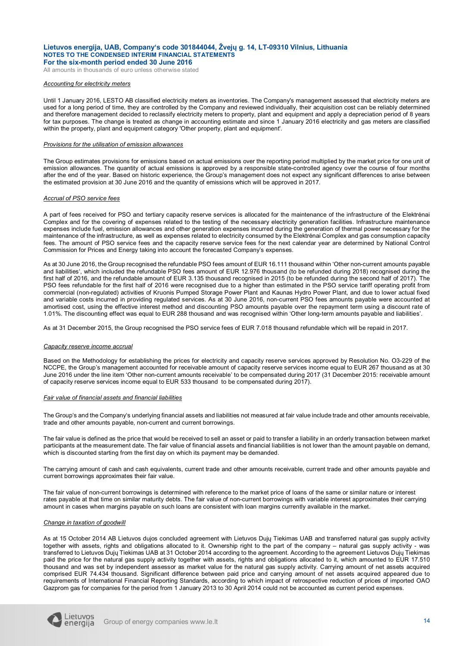All amounts in thousands of euro unless otherwise stated

#### *Accounting for electricity meters*

Until 1 January 2016, LESTO AB classified electricity meters as inventories. The Company's management assessed that electricity meters are used for a long period of time, they are controlled by the Company and reviewed individually, their acquisition cost can be reliably determined and therefore management decided to reclassify electricity meters to property, plant and equipment and apply a depreciation period of 8 years for tax purposes. The change is treated as change in accounting estimate and since 1 January 2016 electricity and gas meters are classified within the property, plant and equipment category 'Other property, plant and equipment'.

#### *Provisions for the utilisation of emission allowances*

The Group estimates provisions for emissions based on actual emissions over the reporting period multiplied by the market price for one unit of emission allowances. The quantity of actual emissions is approved by a responsible state-controlled agency over the course of four months after the end of the year. Based on historic experience, the Group's management does not expect any significant differences to arise between the estimated provision at 30 June 2016 and the quantity of emissions which will be approved in 2017.

### *Accrual of PSO service fees*

A part of fees received for PSO and tertiary capacity reserve services is allocated for the maintenance of the infrastructure of the Elektrėnai Complex and for the covering of expenses related to the testing of the necessary electricity generation facilities. Infrastructure maintenance expenses include fuel, emission allowances and other generation expenses incurred during the generation of thermal power necessary for the maintenance of the infrastructure, as well as expenses related to electricity consumed by the Elektrėnai Complex and gas consumption capacity fees. The amount of PSO service fees and the capacity reserve service fees for the next calendar year are determined by National Control Commission for Prices and Energy taking into account the forecasted Company's expenses.

As at 30 June 2016, the Group recognised the refundable PSO fees amount of EUR 16.111 thousand within 'Other non-current amounts payable and liabilities', which included the refundable PSO fees amount of EUR 12.976 thousand (to be refunded during 2018) recognised during the first half of 2016, and the refundable amount of EUR 3.135 thousand recognised in 2015 (to be refunded during the second half of 2017). The PSO fees refundable for the first half of 2016 were recognised due to a higher than estimated in the PSO service tariff operating profit from commercial (non-regulated) activities of Kruonis Pumped Storage Power Plant and Kaunas Hydro Power Plant, and due to lower actual fixed and variable costs incurred in providing regulated services. As at 30 June 2016, non-current PSO fees amounts payable were accounted at amortised cost, using the effective interest method and discounting PSO amounts payable over the repayment term using a discount rate of 1.01%. The discounting effect was equal to EUR 288 thousand and was recognised within 'Other long-term amounts payable and liabilities'.

As at 31 December 2015, the Group recognised the PSO service fees of EUR 7.018 thousand refundable which will be repaid in 2017.

#### *Capacity reserve income accrual*

Based on the Methodology for establishing the prices for electricity and capacity reserve services approved by Resolution No. O3-229 of the NCCPE, the Group's management accounted for receivable amount of capacity reserve services income equal to EUR 267 thousand as at 30 June 2016 under the line item 'Other non-current amounts receivable' to be compensated during 2017 (31 December 2015: receivable amount of capacity reserve services income equal to EUR 533 thousand to be compensated during 2017).

#### *Fair value of financial assets and financial liabilities*

The Group's and the Company's underlying financial assets and liabilities not measured at fair value include trade and other amounts receivable, trade and other amounts payable, non-current and current borrowings.

The fair value is defined as the price that would be received to sell an asset or paid to transfer a liability in an orderly transaction between market participants at the measurement date. The fair value of financial assets and financial liabilities is not lower than the amount payable on demand, which is discounted starting from the first day on which its payment may be demanded.

The carrying amount of cash and cash equivalents, current trade and other amounts receivable, current trade and other amounts payable and current borrowings approximates their fair value.

The fair value of non-current borrowings is determined with reference to the market price of loans of the same or similar nature or interest rates payable at that time on similar maturity debts. The fair value of non-current borrowings with variable interest approximates their carrying amount in cases when margins payable on such loans are consistent with loan margins currently available in the market.

#### *Change in taxation of goodwill*

As at 15 October 2014 AB Lietuvos dujos concluded agreement with Lietuvos Dujų Tiekimas UAB and transferred natural gas supply activity together with assets, rights and obligations allocated to it. Ownership right to the part of the company – natural gas supply activity - was transferred to Lietuvos Dujų Tiekimas UAB at 31 October 2014 according to the agreement. According to the agreement Lietuvos Dujų Tiekimas paid the price for the natural gas supply activity together with assets, rights and obligations allocated to it, which amounted to EUR 17.510 thousand and was set by independent assessor as market value for the natural gas supply activity. Carrying amount of net assets acquired comprised EUR 74.434 thousand. Significant difference between paid price and carrying amount of net assets acquired appeared due to requirements of International Financial Reporting Standards, according to which impact of retrospective reduction of prices of imported OAO Gazprom gas for companies for the period from 1 January 2013 to 30 April 2014 could not be accounted as current period expenses.

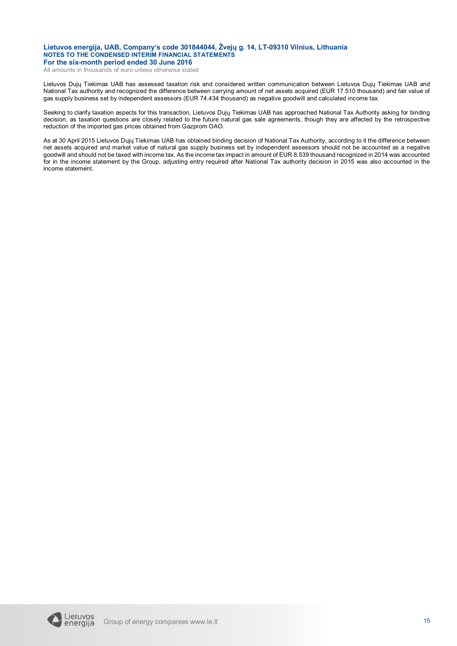All amounts in thousands of euro unless otherwise stated

Lietuvos Dujų Tiekimas UAB has assessed taxation risk and considered written communication between Lietuvos Dujų Tiekimas UAB and National Tax authority and recognized the difference between carrying amount of net assets acquired (EUR 17.510 thousand) and fair value of gas supply business set by independent assessors (EUR 74.434 thousand) as negative goodwill and calculated income tax.

Seeking to clarify taxation aspects for this transaction, Lietuvos Dujų Tiekimas UAB has approached National Tax Authority asking for binding decision, as taxation questions are closely related to the future natural gas sale agreements, though they are affected by the retrospective reduction of the imported gas prices obtained from Gazprom OAO.

As at 30 April 2015 Lietuvos Dujų Tiekimas UAB has obtained binding decision of National Tax Authority, according to it the difference between net assets acquired and market value of natural gas supply business set by independent assessors should not be accounted as a negative goodwill and should not be taxed with income tax. As the income tax impact in amount of EUR 8.539 thousand recognized in 2014 was accounted for in the income statement by the Group, adjusting entry required after National Tax authority decision in 2015 was also accounted in the income statement.

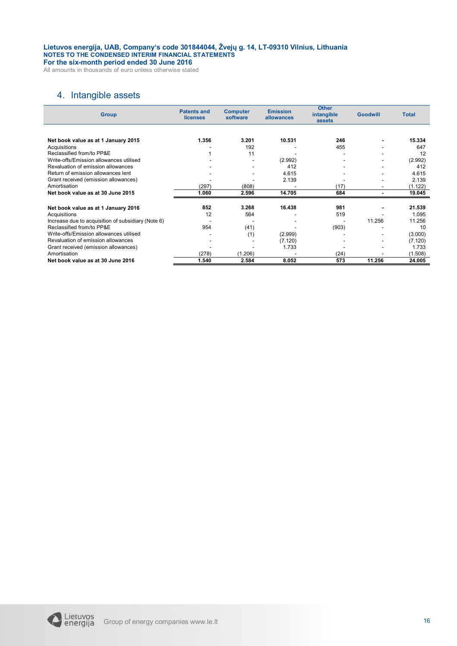All amounts in thousands of euro unless otherwise stated

### 4. Intangible assets

| <b>Group</b>                                       | <b>Patents and</b><br>licenses | <b>Emission</b><br><b>Computer</b><br>software<br>allowances |         | <b>Other</b><br>intangible<br>assets | <b>Goodwill</b> | <b>Total</b> |
|----------------------------------------------------|--------------------------------|--------------------------------------------------------------|---------|--------------------------------------|-----------------|--------------|
|                                                    |                                |                                                              |         |                                      |                 |              |
| Net book value as at 1 January 2015                | 1.356                          | 3.201                                                        | 10.531  | 246                                  |                 | 15.334       |
| Acquisitions                                       |                                | 192                                                          |         | 455                                  |                 | 647          |
| Reclassified from/to PP&E                          |                                | 11                                                           |         |                                      |                 | 12           |
| Write-offs/Emission allowances utilised            |                                |                                                              | (2.992) |                                      |                 | (2.992)      |
| Revaluation of emission allowances                 |                                |                                                              | 412     |                                      |                 | 412          |
| Return of emission allowances lent                 |                                |                                                              | 4.615   |                                      |                 | 4.615        |
| Grant received (emission allowances)               |                                |                                                              | 2.139   |                                      |                 | 2.139        |
| Amortisation                                       | (297)                          | (808)                                                        |         | (17)                                 |                 | (1.122)      |
| Net book value as at 30 June 2015                  | 1.060                          | 2.596                                                        | 14.705  | 684                                  |                 | 19.045       |
|                                                    |                                |                                                              |         |                                      |                 |              |
| Net book value as at 1 January 2016                | 852                            | 3.268                                                        | 16.438  | 981                                  |                 | 21.539       |
| Acquisitions                                       | 12                             | 564                                                          |         | 519                                  |                 | 1.095        |
| Increase due to acquisition of subsidiary (Note 6) |                                |                                                              |         |                                      | 11.256          | 11.256       |
| Reclassified from/to PP&E                          | 954                            | (41)                                                         |         | (903)                                |                 | 10           |
| Write-offs/Emission allowances utilised            |                                | (1)                                                          | (2.999) |                                      |                 | (3.000)      |
| Revaluation of emission allowances                 |                                | ٠                                                            | (7.120) |                                      |                 | (7.120)      |
| Grant received (emission allowances)               |                                |                                                              | 1.733   |                                      |                 | 1.733        |
| Amortisation                                       | (278)                          | (1.206)                                                      |         | (24)                                 |                 | (1.508)      |
| Net book value as at 30 June 2016                  | 1.540                          | 2.584                                                        | 8.052   | 573                                  | 11.256          | 24.005       |

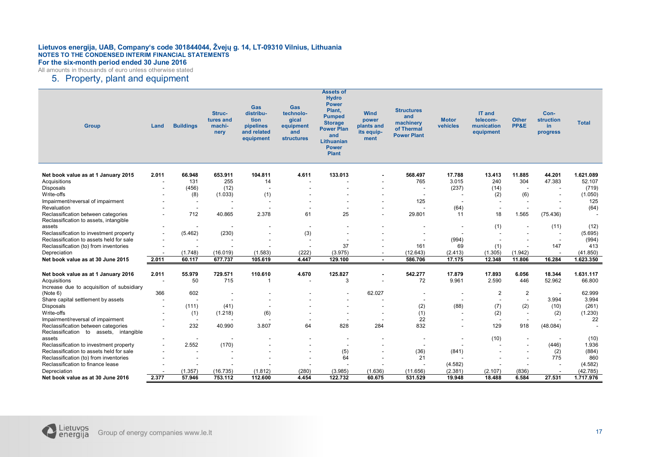All amounts in thousands of euro unless otherwise stated

### 5. Property, plant and equipment

| <b>Group</b>                                                                  | Land                     | <b>Buildings</b>         | <b>Struc-</b><br>tures and<br>machi-<br>nery | Gas<br>distribu-<br>tion<br>pipelines<br>and related<br>equipment | <b>Gas</b><br>technolo-<br>gical<br>equipment<br>and<br><b>structures</b> | <b>Assets of</b><br><b>Hydro</b><br><b>Power</b><br>Plant,<br><b>Pumped</b><br><b>Storage</b><br><b>Power Plan</b><br>and<br><b>Lithuanian</b><br><b>Power</b><br><b>Plant</b> | <b>Wind</b><br>power<br>plants and<br>its equip-<br>ment | <b>Structures</b><br>and<br>machinery<br>of Thermal<br><b>Power Plant</b> | <b>Motor</b><br>vehicles | IT and<br>telecom-<br>munication<br>equipment | <b>Other</b><br>PP&E     | Con-<br>struction<br>in.<br>progress | <b>Total</b> |
|-------------------------------------------------------------------------------|--------------------------|--------------------------|----------------------------------------------|-------------------------------------------------------------------|---------------------------------------------------------------------------|--------------------------------------------------------------------------------------------------------------------------------------------------------------------------------|----------------------------------------------------------|---------------------------------------------------------------------------|--------------------------|-----------------------------------------------|--------------------------|--------------------------------------|--------------|
| Net book value as at 1 January 2015                                           | 2.011                    | 66.948                   | 653.911                                      | 104.811                                                           | 4.611                                                                     | 133.013                                                                                                                                                                        |                                                          | 568.497                                                                   | 17.788                   | 13.413                                        | 11.885                   | 44.201                               | 1.621.089    |
| Acquisitions                                                                  |                          | 131                      | 255                                          | 14                                                                | $\overline{\phantom{a}}$                                                  |                                                                                                                                                                                |                                                          | 765                                                                       | 3.015                    | 240                                           | 304                      | 47.383                               | 52.107       |
| <b>Disposals</b>                                                              | ۰.                       | (456)                    | (12)                                         | $\overline{\phantom{a}}$                                          |                                                                           |                                                                                                                                                                                |                                                          | $\overline{a}$                                                            | (237)                    | (14)                                          |                          |                                      | (719)        |
| Write-offs                                                                    |                          | (8)                      | (1.033)                                      | (1)                                                               |                                                                           |                                                                                                                                                                                |                                                          |                                                                           |                          | (2)                                           | (6)                      |                                      | (1.050)      |
| Impairment/reversal of impairment                                             |                          | $\overline{\phantom{a}}$ |                                              | $\overline{\phantom{a}}$                                          |                                                                           |                                                                                                                                                                                |                                                          | 125                                                                       |                          |                                               |                          |                                      | 125          |
| Revaluation                                                                   | ۰.                       | $\sim$                   | $\overline{\phantom{a}}$                     | $\overline{a}$                                                    |                                                                           |                                                                                                                                                                                | $\overline{a}$                                           |                                                                           | (64)                     | $\overline{a}$                                | ٠                        |                                      | (64)         |
| Reclassification between categories<br>Reclassification to assets, intangible |                          | 712                      | 40.865                                       | 2.378                                                             | 61                                                                        | 25                                                                                                                                                                             |                                                          | 29.801                                                                    | 11                       | 18                                            | 1.565                    | (75.436)                             |              |
| assets                                                                        |                          |                          |                                              |                                                                   | $\overline{\phantom{a}}$                                                  |                                                                                                                                                                                |                                                          |                                                                           | $\overline{\phantom{a}}$ | (1)                                           |                          | (11)                                 | (12)         |
| Reclassification to investment property                                       | $\overline{\phantom{a}}$ | (5.462)                  | (230)                                        | $\overline{\phantom{a}}$                                          | (3)                                                                       |                                                                                                                                                                                |                                                          |                                                                           | $\overline{\phantom{a}}$ |                                               |                          | $\overline{\phantom{a}}$             | (5.695)      |
| Reclassification to assets held for sale                                      | $\blacksquare$           |                          |                                              |                                                                   |                                                                           | $\overline{\phantom{a}}$                                                                                                                                                       |                                                          |                                                                           | (994)                    |                                               |                          |                                      | (994)        |
| Reclassification (to) from inventories                                        | $\overline{\phantom{a}}$ |                          |                                              |                                                                   | $\overline{\phantom{a}}$                                                  | 37                                                                                                                                                                             |                                                          | 161                                                                       | 69                       | (1)                                           | $\overline{a}$           | 147                                  | 413          |
| Depreciation                                                                  |                          | (1.748)                  | (16.019)                                     | (1.583)                                                           | (222)                                                                     | (3.975)                                                                                                                                                                        | $\overline{a}$                                           | (12.643)                                                                  | (2.413)                  | (1.305)                                       | (1.942)                  |                                      | (41.850)     |
| Net book value as at 30 June 2015                                             | 2.011                    | 60.117                   | 677.737                                      | 105.619                                                           | 4.447                                                                     | 129.100                                                                                                                                                                        | $\sim$                                                   | 586.706                                                                   | 17.175                   | 12.348                                        | 11.806                   | 16.284                               | 1.623.350    |
| Net book value as at 1 January 2016                                           | 2.011                    | 55.979                   | 729.571                                      | 110.610                                                           | 4.670                                                                     | 125.827                                                                                                                                                                        |                                                          | 542.277                                                                   | 17.879                   | 17.893                                        | 6.056                    | 18.344                               | 1.631.117    |
| Acquisitions                                                                  | ٠                        | 50                       | 715                                          | -1                                                                |                                                                           | 3                                                                                                                                                                              |                                                          | 72                                                                        | 9.961                    | 2.590                                         | 446                      | 52.962                               | 66.800       |
| Increase due to acquisition of subsidiary                                     |                          |                          |                                              |                                                                   |                                                                           |                                                                                                                                                                                |                                                          |                                                                           |                          |                                               |                          |                                      |              |
| (Note 6)                                                                      | 366                      | 602                      | $\overline{\phantom{a}}$                     |                                                                   |                                                                           |                                                                                                                                                                                | 62.027                                                   | $\blacksquare$                                                            |                          | 2                                             | $\overline{2}$           |                                      | 62.999       |
| Share capital settlement by assets                                            |                          |                          |                                              | $\overline{\phantom{a}}$                                          |                                                                           |                                                                                                                                                                                |                                                          |                                                                           |                          |                                               | $\overline{a}$           | 3.994                                | 3.994        |
| Disposals                                                                     | $\overline{\phantom{a}}$ | (111)                    | (41)                                         | $\overline{\phantom{a}}$                                          |                                                                           |                                                                                                                                                                                |                                                          | (2)                                                                       | (88)                     | (7)                                           | (2)                      | (10)                                 | (261)        |
| Write-offs                                                                    | $\overline{\phantom{a}}$ | (1)                      | (1.218)                                      | (6)                                                               |                                                                           |                                                                                                                                                                                |                                                          | (1)                                                                       |                          | (2)                                           | $\overline{\phantom{a}}$ | (2)                                  | (1.230)      |
| Impairment/reversal of impairment                                             |                          | $\overline{\phantom{a}}$ |                                              |                                                                   |                                                                           |                                                                                                                                                                                | $\overline{\phantom{a}}$                                 | 22                                                                        |                          |                                               |                          |                                      | 22           |
| Reclassification between categories                                           | $\overline{\phantom{a}}$ | 232                      | 40.990                                       | 3.807                                                             | 64                                                                        | 828                                                                                                                                                                            | 284                                                      | 832                                                                       |                          | 129                                           | 918                      | (48.084)                             |              |
| Reclassification to assets, intangible                                        |                          |                          |                                              |                                                                   |                                                                           |                                                                                                                                                                                |                                                          |                                                                           |                          |                                               |                          |                                      |              |
| assets                                                                        |                          | $\overline{\phantom{a}}$ | $\overline{\phantom{a}}$                     |                                                                   |                                                                           | $\overline{\phantom{a}}$                                                                                                                                                       |                                                          |                                                                           |                          | (10)                                          |                          |                                      | (10)         |
| Reclassification to investment property                                       | $\overline{\phantom{a}}$ | 2.552                    | (170)                                        |                                                                   |                                                                           | $\overline{\phantom{a}}$                                                                                                                                                       |                                                          | $\overline{a}$                                                            | $\overline{\phantom{a}}$ |                                               |                          | (446)                                | 1.936        |
| Reclassification to assets held for sale                                      |                          |                          |                                              |                                                                   |                                                                           | (5)                                                                                                                                                                            |                                                          | (36)                                                                      | (841)                    |                                               |                          | (2)                                  | (884)        |
| Reclassification (to) from inventories                                        |                          |                          |                                              |                                                                   |                                                                           | 64                                                                                                                                                                             |                                                          | 21                                                                        |                          |                                               |                          | 775                                  | 860          |
| Reclassification to finance lease                                             |                          | ٠                        |                                              |                                                                   |                                                                           |                                                                                                                                                                                |                                                          |                                                                           | (4.582)                  |                                               |                          |                                      | (4.582)      |
| Depreciation                                                                  |                          | (1.357)                  | (16.735)                                     | (1.812)                                                           | (280)                                                                     | (3.985)                                                                                                                                                                        | (1.636)                                                  | (11.656)                                                                  | (2.381)                  | (2.107)                                       | (836)                    |                                      | (42.785)     |
| Net book value as at 30 June 2016                                             | 2.377                    | 57.946                   | 753.112                                      | 112.600                                                           | 4.454                                                                     | 122.732                                                                                                                                                                        | 60.675                                                   | 531.529                                                                   | 19.948                   | 18.488                                        | 6.584                    | 27.531                               | 1.717.976    |

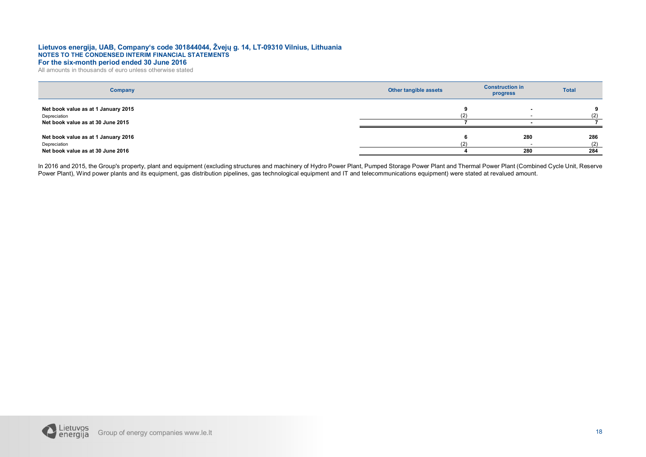All amounts in thousands of euro unless otherwise stated

| Company                                                                                  | Other tangible assets | <b>Construction in</b><br>progress | <b>Total</b>      |
|------------------------------------------------------------------------------------------|-----------------------|------------------------------------|-------------------|
| Net book value as at 1 January 2015<br>Depreciation<br>Net book value as at 30 June 2015 | (2)                   |                                    |                   |
| Net book value as at 1 January 2016<br>Depreciation<br>Net book value as at 30 June 2016 | (2)                   | 280<br>280                         | 286<br>(2)<br>284 |

In 2016 and 2015, the Group's property, plant and equipment (excluding structures and machinery of Hydro Power Plant, Pumped Storage Power Plant and Thermal Power Plant (Combined Cycle Unit, Reserve Power Plant), Wind power plants and its equipment, gas distribution pipelines, gas technological equipment and IT and telecommunications equipment) were stated at revalued amount.

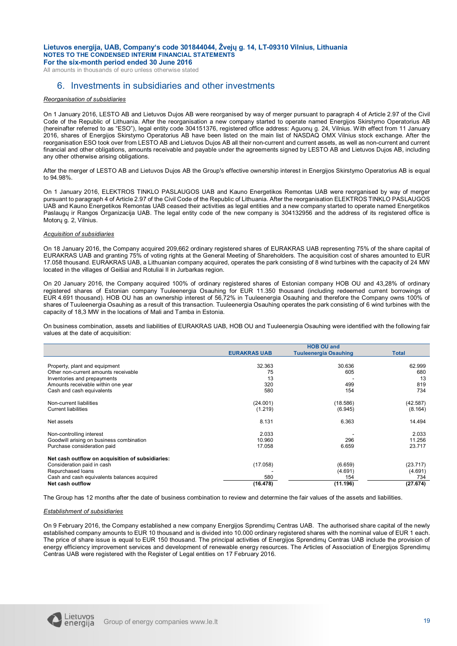All amounts in thousands of euro unless otherwise stated

### 6. Investments in subsidiaries and other investments

### *Reorganisation of subsidiaries*

On 1 January 2016, LESTO AB and Lietuvos Dujos AB were reorganised by way of merger pursuant to paragraph 4 of Article 2.97 of the Civil Code of the Republic of Lithuania. After the reorganisation a new company started to operate named Energijos Skirstymo Operatorius AB (hereinafter referred to as "ESO"), legal entity code 304151376, registered office address: Aguonų g. 24, Vilnius. With effect from 11 January 2016, shares of Energijos Skirstymo Operatorius AB have been listed on the main list of NASDAQ OMX Vilnius stock exchange. After the reorganisation ESO took over from LESTO AB and Lietuvos Dujos AB all their non-current and current assets, as well as non-current and current financial and other obligations, amounts receivable and payable under the agreements signed by LESTO AB and Lietuvos Dujos AB, including any other otherwise arising obligations.

After the merger of LESTO AB and Lietuvos Dujos AB the Group's effective ownership interest in Energijos Skirstymo Operatorius AB is equal to 94.98%.

On 1 January 2016, ELEKTROS TINKLO PASLAUGOS UAB and Kauno Energetikos Remontas UAB were reorganised by way of merger pursuant to paragraph 4 of Article 2.97 of the Civil Code of the Republic of Lithuania. After the reorganisation ELEKTROS TINKLO PASLAUGOS UAB and Kauno Energetikos Remontas UAB ceased their activities as legal entities and a new company started to operate named Energetikos Paslaugų ir Rangos Organizacija UAB. The legal entity code of the new company is 304132956 and the address of its registered office is Motorų g. 2, Vilnius.

#### *Acquisition of subsidiaries*

On 18 January 2016, the Company acquired 209,662 ordinary registered shares of EURAKRAS UAB representing 75% of the share capital of EURAKRAS UAB and granting 75% of voting rights at the General Meeting of Shareholders. The acquisition cost of shares amounted to EUR 17.058 thousand. EURAKRAS UAB, a Lithuanian company acquired, operates the park consisting of 8 wind turbines with the capacity of 24 MW located in the villages of Geišiai and Rotuliai II in Jurbarkas region.

On 20 January 2016, the Company acquired 100% of ordinary registered shares of Estonian company HOB OU and 43,28% of ordinary registered shares of Estonian company Tuuleenergia Osauhing for EUR 11.350 thousand (including redeemed current borrowings of EUR 4.691 thousand). HOB OU has an ownership interest of 56,72% in Tuuleenergia Osauhing and therefore the Company owns 100% of shares of Tuuleenergia Osauhing as a result of this transaction. Tuuleenergia Osauhing operates the park consisting of 6 wind turbines with the capacity of 18,3 MW in the locations of Mali and Tamba in Estonia.

On business combination, assets and liabilities of EURAKRAS UAB, HOB OU and Tuuleenergia Osauhing were identified with the following fair values at the date of acquisition:

|                                                  | <b>HOB OU and</b>   |                              |              |  |
|--------------------------------------------------|---------------------|------------------------------|--------------|--|
|                                                  | <b>EURAKRAS UAB</b> | <b>Tuuleenergia Osauhing</b> | <b>Total</b> |  |
|                                                  |                     |                              |              |  |
| Property, plant and equipment                    | 32.363              | 30.636                       | 62.999       |  |
| Other non-current amounts receivable             | 75                  | 605                          | 680          |  |
| Inventories and prepayments                      | 13                  |                              | 13           |  |
| Amounts receivable within one year               | 320                 | 499                          | 819          |  |
| Cash and cash equivalents                        | 580                 | 154                          | 734          |  |
| Non-current liabilities                          | (24.001)            | (18.586)                     | (42.587)     |  |
| <b>Current liabilities</b>                       | (1.219)             | (6.945)                      | (8.164)      |  |
| Net assets                                       | 8.131               | 6.363                        | 14.494       |  |
| Non-controlling interest                         | 2.033               |                              | 2.033        |  |
| Goodwill arising on business combination         | 10.960              | 296                          | 11.256       |  |
| Purchase consideration paid                      | 17.058              | 6.659                        | 23.717       |  |
| Net cash outflow on acquisition of subsidiaries: |                     |                              |              |  |
| Consideration paid in cash                       | (17.058)            | (6.659)                      | (23.717)     |  |
| Repurchased loans                                |                     | (4.691)                      | (4.691)      |  |
| Cash and cash equivalents balances acquired      | 580                 | 154                          | 734          |  |
| Net cash outflow                                 | (16.478)            | (11.196)                     | (27.674)     |  |

The Group has 12 months after the date of business combination to review and determine the fair values of the assets and liabilities.

### *Establishment of subsidiaries*

On 9 February 2016, the Company established a new company Energijos Sprendimų Centras UAB. The authorised share capital of the newly established company amounts to EUR 10 thousand and is divided into 10.000 ordinary registered shares with the nominal value of EUR 1 each. The price of share issue is equal to EUR 150 thousand. The principal activities of Energijos Sprendimų Centras UAB include the provision of energy efficiency improvement services and development of renewable energy resources. The Articles of Association of Energijos Sprendimų Centras UAB were registered with the Register of Legal entities on 17 February 2016.

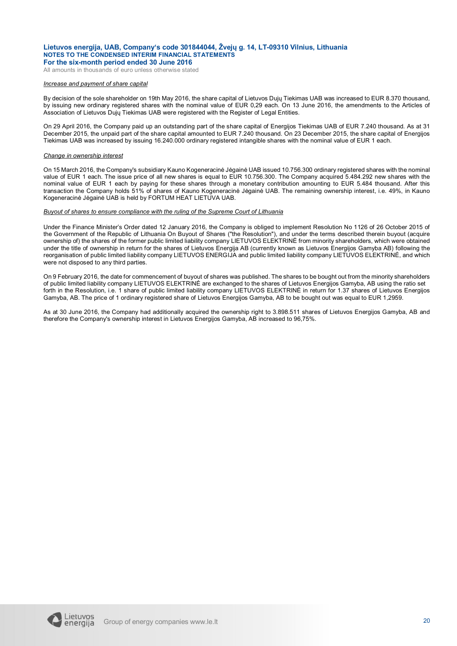All amounts in thousands of euro unless otherwise stated

### *Increase and payment of share capital*

By decision of the sole shareholder on 19th May 2016, the share capital of Lietuvos Dujų Tiekimas UAB was increased to EUR 8.370 thousand, by issuing new ordinary registered shares with the nominal value of EUR 0,29 each. On 13 June 2016, the amendments to the Articles of Association of Lietuvos Dujų Tiekimas UAB were registered with the Register of Legal Entities.

On 29 April 2016, the Company paid up an outstanding part of the share capital of Energijos Tiekimas UAB of EUR 7.240 thousand. As at 31 December 2015, the unpaid part of the share capital amounted to EUR 7.240 thousand. On 23 December 2015, the share capital of Energijos Tiekimas UAB was increased by issuing 16.240.000 ordinary registered intangible shares with the nominal value of EUR 1 each.

#### *Change in ownership interest*

On 15 March 2016, the Company's subsidiary Kauno Kogeneracinė Jėgainė UAB issued 10.756.300 ordinary registered shares with the nominal value of EUR 1 each. The issue price of all new shares is equal to EUR 10.756.300. The Company acquired 5.484.292 new shares with the nominal value of EUR 1 each by paying for these shares through a monetary contribution amounting to EUR 5.484 thousand. After this transaction the Company holds 51% of shares of Kauno Kogeneracinė Jėgainė UAB. The remaining ownership interest, i.e. 49%, in Kauno Kogeneracinė Jėgainė UAB is held by FORTUM HEAT LIETUVA UAB.

#### *Buyout of shares to ensure compliance with the ruling of the Supreme Court of Lithuania*

Under the Finance Minister's Order dated 12 January 2016, the Company is obliged to implement Resolution No 1126 of 26 October 2015 of the Government of the Republic of Lithuania On Buyout of Shares ("the Resolution"), and under the terms described therein buyout (acquire ownership of) the shares of the former public limited liability company LIETUVOS ELEKTRINĖ from minority shareholders, which were obtained under the title of ownership in return for the shares of Lietuvos Energija AB (currently known as Lietuvos Energijos Gamyba AB) following the reorganisation of public limited liability company LIETUVOS ENERGIJA and public limited liability company LIETUVOS ELEKTRINĖ, and which were not disposed to any third parties.

On 9 February 2016, the date for commencement of buyout of shares was published. The shares to be bought out from the minority shareholders of public limited liability company LIETUVOS ELEKTRINĖ are exchanged to the shares of Lietuvos Energijos Gamyba, AB using the ratio set forth in the Resolution, i.e. 1 share of public limited liability company LIETUVOS ELEKTRINĖ in return for 1.37 shares of Lietuvos Energijos Gamyba, AB. The price of 1 ordinary registered share of Lietuvos Energijos Gamyba, AB to be bought out was equal to EUR 1,2959.

As at 30 June 2016, the Company had additionally acquired the ownership right to 3.898.511 shares of Lietuvos Energijos Gamyba, AB and therefore the Company's ownership interest in Lietuvos Energijos Gamyba, AB increased to 96,75%.

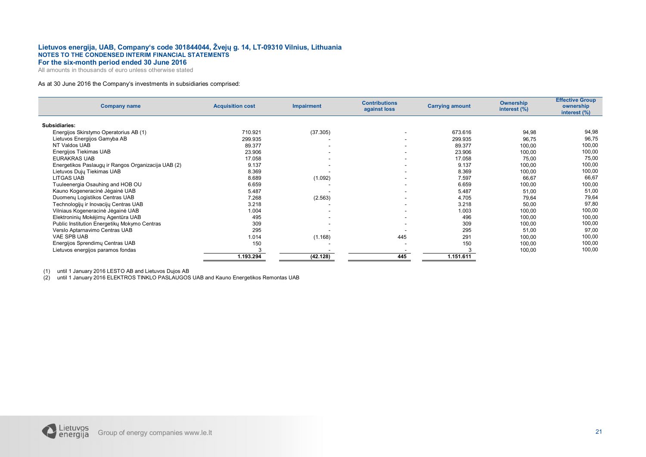All amounts in thousands of euro unless otherwise stated

### As at 30 June 2016 the Company's investments in subsidiaries comprised:

| <b>Company name</b>                                 | <b>Acquisition cost</b> | <b>Impairment</b>        | <b>Contributions</b><br>against loss | <b>Carrying amount</b> | Ownership<br>interest (%) | <b>Effective Group</b><br>ownership<br>interest (%) |
|-----------------------------------------------------|-------------------------|--------------------------|--------------------------------------|------------------------|---------------------------|-----------------------------------------------------|
| Subsidiaries:                                       |                         |                          |                                      |                        |                           |                                                     |
| Energijos Skirstymo Operatorius AB (1)              | 710.921                 | (37.305)                 |                                      | 673.616                | 94,98                     | 94,98                                               |
| Lietuvos Energijos Gamyba AB                        | 299.935                 |                          |                                      | 299.935                | 96,75                     | 96,75                                               |
| NT Valdos UAB                                       | 89.377                  | $\overline{\phantom{a}}$ |                                      | 89.377                 | 100,00                    | 100,00                                              |
| Energijos Tiekimas UAB                              | 23.906                  | ۰                        |                                      | 23.906                 | 100,00                    | 100,00                                              |
| <b>EURAKRAS UAB</b>                                 | 17.058                  |                          |                                      | 17.058                 | 75,00                     | 75,00                                               |
| Energetikos Paslaugų ir Rangos Organizacija UAB (2) | 9.137                   |                          |                                      | 9.137                  | 100,00                    | 100,00                                              |
| Lietuvos Dujų Tiekimas UAB                          | 8.369                   |                          |                                      | 8.369                  | 100,00                    | 100,00                                              |
| <b>LITGAS UAB</b>                                   | 8.689                   | (1.092)                  |                                      | 7.597                  | 66,67                     | 66,67                                               |
| Tuuleenergia Osauhing and HOB OU                    | 6.659                   |                          |                                      | 6.659                  | 100,00                    | 100,00                                              |
| Kauno Kogeneracinė Jėgainė UAB                      | 5.487                   |                          |                                      | 5.487                  | 51,00                     | 51,00                                               |
| Duomenų Logistikos Centras UAB                      | 7.268                   | (2.563)                  |                                      | 4.705                  | 79,64                     | 79,64                                               |
| Technologijų ir Inovacijų Centras UAB               | 3.218                   |                          |                                      | 3.218                  | 50,00                     | 97,80                                               |
| Vilniaus Kogeneracinė Jėgainė UAB                   | 1.004                   |                          |                                      | 1.003                  | 100,00                    | 100,00                                              |
| Elektroninių Mokėjimų Agentūra UAB                  | 495                     |                          |                                      | 496                    | 100,00                    | 100,00                                              |
| Public Institution Energetiky Mokymo Centras        | 309                     | $\overline{\phantom{a}}$ |                                      | 309                    | 100,00                    | 100,00                                              |
| Verslo Aptarnavimo Centras UAB                      | 295                     |                          |                                      | 295                    | 51,00                     | 97,00                                               |
| VAE SPB UAB                                         | 1.014                   | (1.168)                  | 445                                  | 291                    | 100,00                    | 100,00                                              |
| Energijos Sprendimų Centras UAB                     | 150                     |                          |                                      | 150                    | 100,00                    | 100,00                                              |
| Lietuvos energijos paramos fondas                   |                         |                          |                                      |                        | 100,00                    | 100,00                                              |
|                                                     | 1.193.294               | (42.128)                 | 445                                  | 1.151.611              |                           |                                                     |

(1) until 1 January 2016 LESTO AB and Lietuvos Dujos AB

(2) until 1 January 2016 ELEKTROS TINKLO PASLAUGOS UAB and Kauno Energetikos Remontas UAB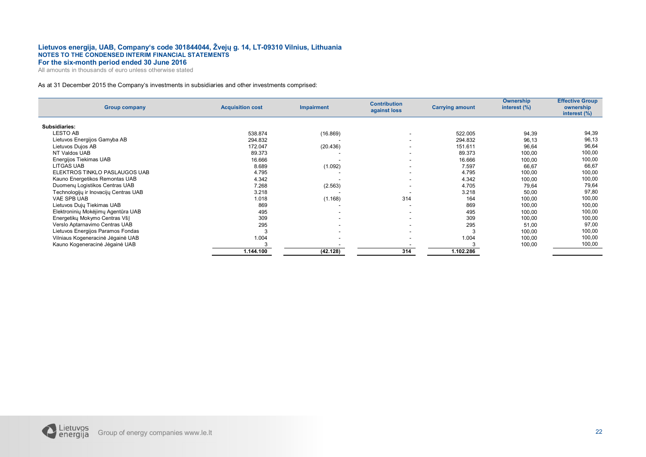All amounts in thousands of euro unless otherwise stated

### As at 31 December 2015 the Company's investments in subsidiaries and other investments comprised:

| <b>Group company</b>                  | <b>Acquisition cost</b> | <b>Impairment</b>        | <b>Contribution</b><br>against loss | <b>Carrying amount</b> | Ownership<br>interest (%) | <b>Effective Group</b><br>ownership<br>interest (%) |
|---------------------------------------|-------------------------|--------------------------|-------------------------------------|------------------------|---------------------------|-----------------------------------------------------|
| Subsidiaries:                         |                         |                          |                                     |                        |                           |                                                     |
| <b>LESTO AB</b>                       | 538.874                 | (16.869)                 | $\overline{\phantom{a}}$            | 522.005                | 94,39                     | 94,39                                               |
| Lietuvos Energijos Gamyba AB          | 294.832                 |                          | ۰.                                  | 294.832                | 96,13                     | 96,13                                               |
| Lietuvos Dujos AB                     | 172.047                 | (20.436)                 | ۰.                                  | 151.611                | 96,64                     | 96,64                                               |
| NT Valdos UAB                         | 89.373                  |                          | $\overline{\phantom{a}}$            | 89.373                 | 100,00                    | 100,00                                              |
| Energijos Tiekimas UAB                | 16.666                  |                          | -                                   | 16.666                 | 100,00                    | 100,00                                              |
| LITGAS UAB                            | 8.689                   | (1.092)                  | $\overline{\phantom{a}}$            | 7.597                  | 66,67                     | 66,67                                               |
| ELEKTROS TINKLO PASLAUGOS UAB         | 4.795                   |                          | $\overline{\phantom{a}}$            | 4.795                  | 100,00                    | 100,00                                              |
| Kauno Energetikos Remontas UAB        | 4.342                   |                          | $\overline{\phantom{a}}$            | 4.342                  | 100,00                    | 100,00                                              |
| Duomenų Logistikos Centras UAB        | 7.268                   | (2.563)                  | ۰.                                  | 4.705                  | 79,64                     | 79,64                                               |
| Technologijų ir Inovacijų Centras UAB | 3.218                   |                          | $\overline{\phantom{a}}$            | 3.218                  | 50,00                     | 97,80                                               |
| VAE SPB UAB                           | 1.018                   | (1.168)                  | 314                                 | 164                    | 100,00                    | 100,00                                              |
| Lietuvos Dujų Tiekimas UAB            | 869                     |                          | $\overline{\phantom{a}}$            | 869                    | 100,00                    | 100,00                                              |
| Elektroninių Mokėjimų Agentūra UAB    | 495                     | $\overline{\phantom{a}}$ | $\overline{\phantom{a}}$            | 495                    | 100,00                    | 100,00                                              |
| Energetikų Mokymo Centras VšĮ         | 309                     | $\sim$                   | $\overline{\phantom{a}}$            | 309                    | 100,00                    | 100,00                                              |
| Verslo Aptarnavimo Centras UAB        | 295                     | $\overline{\phantom{a}}$ | $\overline{\phantom{a}}$            | 295                    | 51,00                     | 97,00                                               |
| Lietuvos Energijos Paramos Fondas     | 3                       | $\overline{\phantom{a}}$ | $\overline{\phantom{a}}$            |                        | 100,00                    | 100,00                                              |
| Vilniaus Kogeneracinė Jėgainė UAB     | 1.004                   |                          | -                                   | 1.004                  | 100,00                    | 100,00                                              |
| Kauno Kogeneracinė Jėgainė UAB        |                         |                          |                                     |                        | 100,00                    | 100,00                                              |
|                                       | 1.144.100               | (42.128)                 | 314                                 | 1.102.286              |                           |                                                     |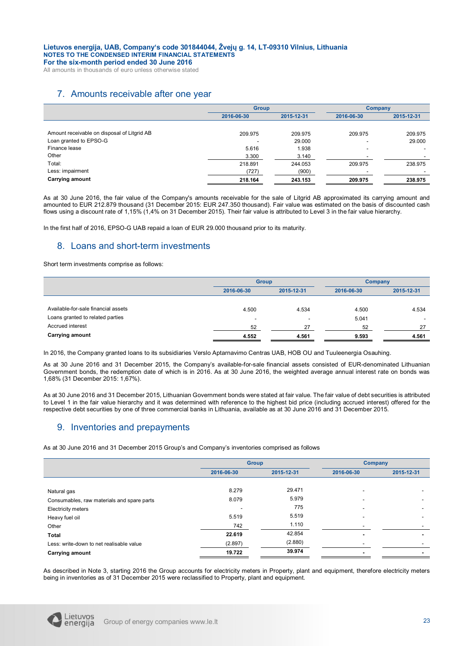All amounts in thousands of euro unless otherwise stated

## 7. Amounts receivable after one year

|                                             | <b>Group</b> |            | Company                  |            |
|---------------------------------------------|--------------|------------|--------------------------|------------|
|                                             | 2016-06-30   | 2015-12-31 | 2016-06-30               | 2015-12-31 |
|                                             |              |            |                          |            |
| Amount receivable on disposal of Litgrid AB | 209.975      | 209.975    | 209.975                  | 209.975    |
| Loan granted to EPSO-G                      | -            | 29.000     | $\overline{\phantom{a}}$ | 29,000     |
| Finance lease                               | 5.616        | 1.938      | $\overline{\phantom{a}}$ |            |
| Other                                       | 3.300        | 3.140      |                          |            |
| Total:                                      | 218.891      | 244.053    | 209.975                  | 238.975    |
| Less: impairment                            | (727)        | (900)      |                          |            |
| <b>Carrying amount</b>                      | 218.164      | 243.153    | 209.975                  | 238.975    |

As at 30 June 2016, the fair value of the Company's amounts receivable for the sale of Litgrid AB approximated its carrying amount and amounted to EUR 212.879 thousand (31 December 2015: EUR 247.350 thousand). Fair value was estimated on the basis of discounted cash flows using a discount rate of 1,15% (1,4% on 31 December 2015). Their fair value is attributed to Level 3 in the fair value hierarchy.

In the first half of 2016, EPSO-G UAB repaid a loan of EUR 29.000 thousand prior to its maturity.

### 8. Loans and short-term investments

Short term investments comprise as follows:

|                                     | <b>Group</b>             |                          | <b>Company</b> |                          |
|-------------------------------------|--------------------------|--------------------------|----------------|--------------------------|
|                                     | 2016-06-30               | 2015-12-31               | 2016-06-30     | 2015-12-31               |
|                                     |                          |                          |                |                          |
| Available-for-sale financial assets | 4.500                    | 4.534                    | 4.500          | 4.534                    |
| Loans granted to related parties    | $\overline{\phantom{a}}$ | $\overline{\phantom{a}}$ | 5.041          | $\overline{\phantom{a}}$ |
| Accrued interest                    | 52                       | 27                       | 52             | 27                       |
| <b>Carrying amount</b>              | 4.552                    | 4.561                    | 9.593          | 4.561                    |

In 2016, the Company granted loans to its subsidiaries Verslo Aptarnavimo Centras UAB, HOB OU and Tuuleenergia Osauhing.

As at 30 June 2016 and 31 December 2015, the Company's available-for-sale financial assets consisted of EUR-denominated Lithuanian Government bonds, the redemption date of which is in 2016. As at 30 June 2016, the weighted average annual interest rate on bonds was 1,68% (31 December 2015: 1,67%).

As at 30 June 2016 and 31 December 2015, Lithuanian Government bonds were stated at fair value. The fair value of debt securities is attributed to Level 1 in the fair value hierarchy and it was determined with reference to the highest bid price (including accrued interest) offered for the respective debt securities by one of three commercial banks in Lithuania, available as at 30 June 2016 and 31 December 2015.

### 9. Inventories and prepayments

As at 30 June 2016 and 31 December 2015 Group's and Company's inventories comprised as follows

|                                            | <b>Group</b> |            | <b>Company</b>           |            |
|--------------------------------------------|--------------|------------|--------------------------|------------|
|                                            | 2016-06-30   | 2015-12-31 | 2016-06-30               | 2015-12-31 |
|                                            |              |            |                          |            |
| Natural gas                                | 8.279        | 29.471     |                          |            |
| Consumables, raw materials and spare parts | 8.079        | 5.979      |                          |            |
| <b>Electricity meters</b>                  |              | 775        |                          |            |
| Heavy fuel oil                             | 5.519        | 5.519      |                          |            |
| Other                                      | 742          | 1.110      |                          |            |
| <b>Total</b>                               | 22.619       | 42.854     | $\blacksquare$           |            |
| Less: write-down to net realisable value   | (2.897)      | (2.880)    |                          |            |
| <b>Carrying amount</b>                     | 19.722       | 39.974     | $\overline{\phantom{a}}$ | -          |

As described in Note 3, starting 2016 the Group accounts for electricity meters in Property, plant and equipment, therefore electricity meters being in inventories as of 31 December 2015 were reclassified to Property, plant and equipment.

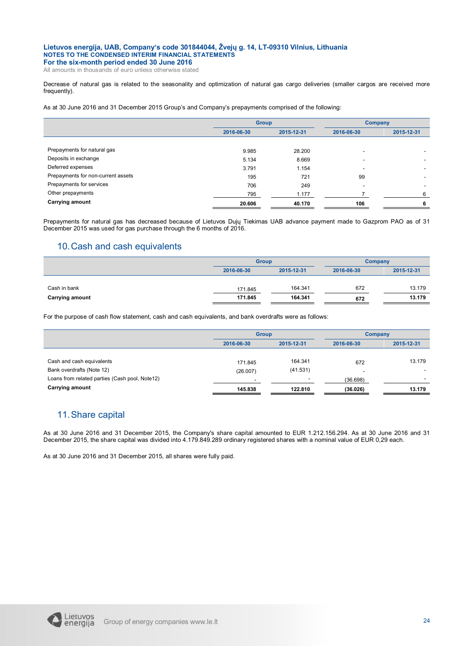All amounts in thousands of euro unless otherwise stated

Decrease of natural gas is related to the seasonality and optimization of natural gas cargo deliveries (smaller cargos are received more frequently).

As at 30 June 2016 and 31 December 2015 Group's and Company's prepayments comprised of the following:

|                                    |            | <b>Group</b> |            | Company    |
|------------------------------------|------------|--------------|------------|------------|
|                                    | 2016-06-30 | 2015-12-31   | 2016-06-30 | 2015-12-31 |
|                                    |            |              |            |            |
| Prepayments for natural gas        | 9.985      | 28,200       |            |            |
| Deposits in exchange               | 5.134      | 8.669        |            |            |
| Deferred expenses                  | 3.791      | 1.154        |            |            |
| Prepayments for non-current assets | 195        | 721          | 99         |            |
| Prepayments for services           | 706        | 249          |            |            |
| Other prepayments                  | 795        | 1.177        |            | 6          |
| <b>Carrying amount</b>             | 20.606     | 40.170       | 106        | 6          |

Prepayments for natural gas has decreased because of Lietuvos Dujų Tiekimas UAB advance payment made to Gazprom PAO as of 31 December 2015 was used for gas purchase through the 6 months of 2016.

### 10.Cash and cash equivalents

|                        | <b>Group</b> |            | Company    |            |
|------------------------|--------------|------------|------------|------------|
|                        | 2016-06-30   | 2015-12-31 | 2016-06-30 | 2015-12-31 |
|                        |              |            |            |            |
| Cash in bank           | 171.845      | 164.341    | 672        | 13.179     |
| <b>Carrying amount</b> | 171.845      | 164.341    | 672        | 13.179     |

For the purpose of cash flow statement, cash and cash equivalents, and bank overdrafts were as follows:

|                                                 | <b>Group</b> |                          | Company                  |            |
|-------------------------------------------------|--------------|--------------------------|--------------------------|------------|
|                                                 | 2016-06-30   | 2015-12-31               | 2016-06-30               | 2015-12-31 |
|                                                 |              |                          |                          |            |
| Cash and cash equivalents                       | 171.845      | 164.341                  | 672                      | 13.179     |
| Bank overdrafts (Note 12)                       | (26.007)     | (41.531)                 | $\overline{\phantom{a}}$ |            |
| Loans from related parties (Cash pool, Note 12) | -            | $\overline{\phantom{a}}$ | (36.698)                 |            |
| <b>Carrying amount</b>                          | 145.838      | 122.810                  | (36.026)                 | 13.179     |

### 11.Share capital

As at 30 June 2016 and 31 December 2015, the Company's share capital amounted to EUR 1.212.156.294. As at 30 June 2016 and 31 December 2015, the share capital was divided into 4.179.849.289 ordinary registered shares with a nominal value of EUR 0,29 each.

As at 30 June 2016 and 31 December 2015, all shares were fully paid.

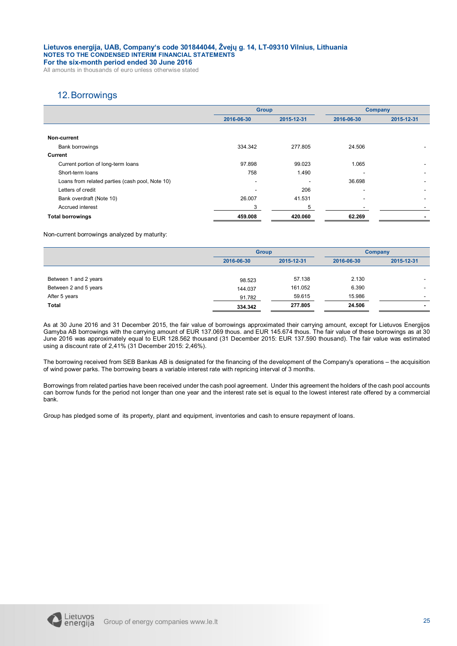All amounts in thousands of euro unless otherwise stated

### 12.Borrowings

|                                                 | <b>Group</b> |            | <b>Company</b> |                |
|-------------------------------------------------|--------------|------------|----------------|----------------|
|                                                 | 2016-06-30   | 2015-12-31 | 2016-06-30     | 2015-12-31     |
|                                                 |              |            |                |                |
| Non-current                                     |              |            |                |                |
| Bank borrowings                                 | 334.342      | 277.805    | 24.506         |                |
| <b>Current</b>                                  |              |            |                |                |
| Current portion of long-term loans              | 97.898       | 99.023     | 1.065          |                |
| Short-term loans                                | 758          | 1.490      |                |                |
| Loans from related parties (cash pool, Note 10) |              |            | 36.698         |                |
| Letters of credit                               | -            | 206        | ۰.             |                |
| Bank overdraft (Note 10)                        | 26.007       | 41.531     |                |                |
| Accrued interest                                | 3            | 5          |                |                |
| <b>Total borrowings</b>                         | 459.008      | 420.060    | 62.269         | $\blacksquare$ |

Non-current borrowings analyzed by maturity:

|                       | <b>Group</b> |            | Company    |                          |
|-----------------------|--------------|------------|------------|--------------------------|
|                       | 2016-06-30   | 2015-12-31 | 2016-06-30 | 2015-12-31               |
|                       |              |            |            |                          |
| Between 1 and 2 years | 98.523       | 57.138     | 2.130      | $\overline{\phantom{a}}$ |
| Between 2 and 5 years | 144.037      | 161.052    | 6.390      |                          |
| After 5 years         | 91.782       | 59.615     | 15.986     | -                        |
| Total                 | 334.342      | 277.805    | 24.506     | $\overline{\phantom{0}}$ |

As at 30 June 2016 and 31 December 2015, the fair value of borrowings approximated their carrying amount, except for Lietuvos Energijos Gamyba AB borrowings with the carrying amount of EUR 137.069 thous. and EUR 145.674 thous. The fair value of these borrowings as at 30 June 2016 was approximately equal to EUR 128.562 thousand (31 December 2015: EUR 137.590 thousand). The fair value was estimated using a discount rate of 2,41% (31 December 2015: 2,46%).

The borrowing received from SEB Bankas AB is designated for the financing of the development of the Company's operations – the acquisition of wind power parks. The borrowing bears a variable interest rate with repricing interval of 3 months.

Borrowings from related parties have been received under the cash pool agreement. Under this agreement the holders of the cash pool accounts can borrow funds for the period not longer than one year and the interest rate set is equal to the lowest interest rate offered by a commercial bank.

Group has pledged some of its property, plant and equipment, inventories and cash to ensure repayment of loans.

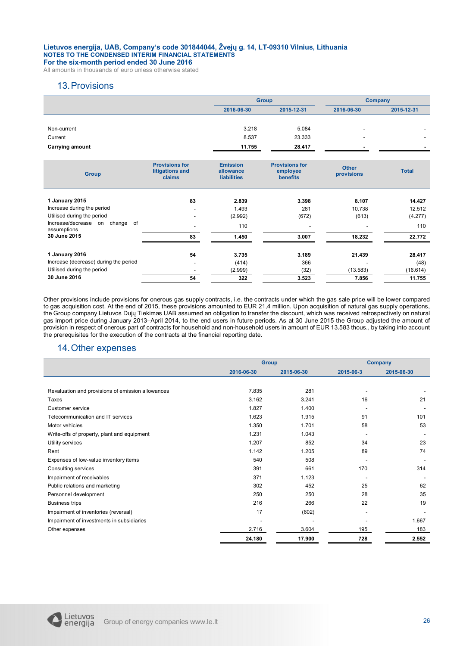All amounts in thousands of euro unless otherwise stated

### 13.Provisions

|                                               |                                                    |                                                    | <b>Group</b>                                         |                            | <b>Company</b> |
|-----------------------------------------------|----------------------------------------------------|----------------------------------------------------|------------------------------------------------------|----------------------------|----------------|
|                                               |                                                    | 2016-06-30                                         | 2015-12-31                                           | 2016-06-30                 | 2015-12-31     |
|                                               |                                                    |                                                    |                                                      |                            |                |
| Non-current                                   |                                                    | 3.218                                              | 5.084                                                |                            |                |
| Current                                       |                                                    | 8.537                                              | 23.333                                               |                            |                |
| <b>Carrying amount</b>                        |                                                    | 11.755                                             | 28.417                                               |                            |                |
|                                               |                                                    |                                                    |                                                      |                            |                |
| <b>Group</b>                                  | <b>Provisions for</b><br>litigations and<br>claims | <b>Emission</b><br>allowance<br><b>liabilities</b> | <b>Provisions for</b><br>employee<br><b>benefits</b> | <b>Other</b><br>provisions | <b>Total</b>   |
| 1 January 2015                                | 83                                                 | 2.839                                              | 3.398                                                | 8.107                      | 14.427         |
| Increase during the period                    |                                                    | 1.493                                              | 281                                                  | 10.738                     | 12.512         |
| Utilised during the period                    |                                                    | (2.992)                                            | (672)                                                | (613)                      | (4.277)        |
| Increase/decrease on change of<br>assumptions |                                                    | 110                                                |                                                      |                            | 110            |
| 30 June 2015                                  | 83                                                 | 1.450                                              | 3.007                                                | 18.232                     | 22.772         |
|                                               |                                                    |                                                    |                                                      |                            |                |
| 1 January 2016                                | 54                                                 | 3.735                                              | 3.189                                                | 21.439                     | 28.417         |
| Increase (decrease) during the period         | ٠                                                  | (414)                                              | 366                                                  |                            | (48)           |
| Utilised during the period                    |                                                    | (2.999)                                            | (32)                                                 | (13.583)                   | (16.614)       |
| 30 June 2016                                  | 54                                                 | 322                                                | 3.523                                                | 7.856                      | 11.755         |

Other provisions include provisions for onerous gas supply contracts, i.e. the contracts under which the gas sale price will be lower compared to gas acquisition cost. At the end of 2015, these provisions amounted to EUR 21,4 million. Upon acquisition of natural gas supply operations, the Group company Lietuvos Dujų Tiekimas UAB assumed an obligation to transfer the discount, which was received retrospectively on natural gas import price during January 2013–April 2014, to the end users in future periods. As at 30 June 2015 the Group adjusted the amount of provision in respect of onerous part of contracts for household and non-household users in amount of EUR 13.583 thous., by taking into account the prerequisites for the execution of the contracts at the financial reporting date.

### 14.Other expenses

|                                                   |            | <b>Group</b> |                          | Company    |
|---------------------------------------------------|------------|--------------|--------------------------|------------|
|                                                   | 2016-06-30 | 2015-06-30   | 2015-06-3                | 2015-06-30 |
|                                                   |            |              |                          |            |
| Revaluation and provisions of emission allowances | 7.835      | 281          |                          |            |
| Taxes                                             | 3.162      | 3.241        | 16                       | 21         |
| <b>Customer service</b>                           | 1.827      | 1.400        |                          |            |
| Telecommunication and IT services                 | 1.623      | 1.915        | 91                       | 101        |
| Motor vehicles                                    | 1.350      | 1.701        | 58                       | 53         |
| Write-offs of property, plant and equipment       | 1.231      | 1.043        | ٠                        |            |
| Utility services                                  | 1.207      | 852          | 34                       | 23         |
| Rent                                              | 1.142      | 1.205        | 89                       | 74         |
| Expenses of low-value inventory items             | 540        | 508          |                          |            |
| Consulting services                               | 391        | 661          | 170                      | 314        |
| Impairment of receivables                         | 371        | 1.123        | $\overline{\phantom{a}}$ |            |
| Public relations and marketing                    | 302        | 452          | 25                       | 62         |
| Personnel development                             | 250        | 250          | 28                       | 35         |
| <b>Business trips</b>                             | 216        | 266          | 22                       | 19         |
| Impairment of inventories (reversal)              | 17         | (602)        | $\overline{\phantom{a}}$ |            |
| Impairment of investments in subsidiaries         |            |              |                          | 1.667      |
| Other expenses                                    | 2.716      | 3.604        | 195                      | 183        |
|                                                   | 24.180     | 17.900       | 728                      | 2.552      |

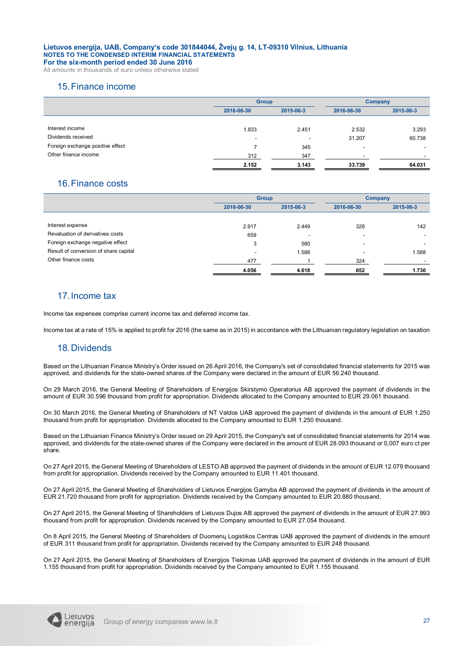All amounts in thousands of euro unless otherwise stated

### 15.Finance income

|                                  | <b>Group</b>             |                          | <b>Company</b> |           |
|----------------------------------|--------------------------|--------------------------|----------------|-----------|
|                                  | 2015-06-3<br>2016-06-30  |                          | 2016-06-30     | 2015-06-3 |
|                                  |                          |                          |                |           |
| Interest income                  | 1.833                    | 2.451                    | 2.532          | 3.293     |
| Dividends received               | $\overline{\phantom{a}}$ | $\overline{\phantom{a}}$ | 31.207         | 60.738    |
| Foreign exchange positive effect |                          | 345                      | ٠              | ۰.        |
| Other finance income             | 312                      | 347                      | -              |           |
|                                  | 2.152                    | 3.143                    | 33.739         | 64.031    |

### 16.Finance costs

|                                       |            | <b>Group</b> |                          | <b>Company</b> |
|---------------------------------------|------------|--------------|--------------------------|----------------|
|                                       | 2016-06-30 | 2015-06-3    | 2016-06-30               | 2015-06-3      |
|                                       |            |              |                          |                |
| Interest expense                      | 2.917      | 2.449        | 328                      | 142            |
| Revaluation of derivatives costs      | 659        |              |                          |                |
| Foreign exchange negative effect      | 3          | 580          | $\overline{\phantom{a}}$ |                |
| Result of conversion of share capital |            | 1.588        |                          | 1.588          |
| Other finance costs                   | 477        |              | 324                      |                |
|                                       | 4.056      | 4.618        | 652                      | 1.730          |

### 17.Income tax

Income tax expenses comprise current income tax and deferred income tax.

Income tax at a rate of 15% is applied to profit for 2016 (the same as in 2015) in accordance with the Lithuanian regulatory legislation on taxation

### 18.Dividends

Based on the Lithuanian Finance Ministry's Order issued on 26 April 2016, the Company's set of consolidated financial statements for 2015 was approved, and dividends for the state-owned shares of the Company were declared in the amount of EUR 56.240 thousand.

On 29 March 2016, the General Meeting of Shareholders of Energijos Skirstymo Operatorius AB approved the payment of dividends in the amount of EUR 30.596 thousand from profit for appropriation. Dividends allocated to the Company amounted to EUR 29.061 thousand.

On 30 March 2016, the General Meeting of Shareholders of NT Valdos UAB approved the payment of dividends in the amount of EUR 1.250 thousand from profit for appropriation. Dividends allocated to the Company amounted to EUR 1.250 thousand.

Based on the Lithuanian Finance Ministry's Order issued on 29 April 2015, the Company's set of consolidated financial statements for 2014 was approved, and dividends for the state-owned shares of the Company were declared in the amount of EUR 28.093 thousand or 0,007 euro ct per share.

On 27 April 2015, the General Meeting of Shareholders of LESTO AB approved the payment of dividends in the amount of EUR 12.079 thousand from profit for appropriation. Dividends received by the Company amounted to EUR 11.401 thousand.

On 27 April 2015, the General Meeting of Shareholders of Lietuvos Energijos Gamyba AB approved the payment of dividends in the amount of EUR 21.720 thousand from profit for appropriation. Dividends received by the Company amounted to EUR 20.880 thousand.

On 27 April 2015, the General Meeting of Shareholders of Lietuvos Dujos AB approved the payment of dividends in the amount of EUR 27.993 thousand from profit for appropriation. Dividends received by the Company amounted to EUR 27.054 thousand.

On 8 April 2015, the General Meeting of Shareholders of Duomenų Logistikos Centras UAB approved the payment of dividends in the amount of EUR 311 thousand from profit for appropriation. Dividends received by the Company amounted to EUR 248 thousand.

On 27 April 2015, the General Meeting of Shareholders of Energijos Tiekimas UAB approved the payment of dividends in the amount of EUR 1.155 thousand from profit for appropriation. Dividends received by the Company amounted to EUR 1.155 thousand.

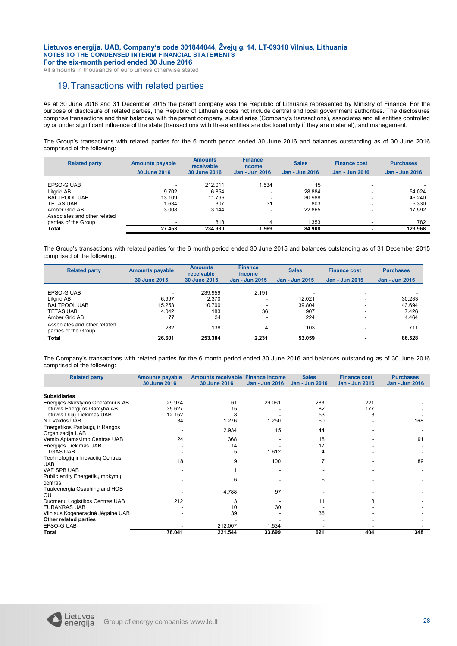All amounts in thousands of euro unless otherwise stated

### 19.Transactions with related parties

As at 30 June 2016 and 31 December 2015 the parent company was the Republic of Lithuania represented by Ministry of Finance. For the purpose of disclosure of related parties, the Republic of Lithuania does not include central and local government authorities. The disclosures comprise transactions and their balances with the parent company, subsidiaries (Company's transactions), associates and all entities controlled by or under significant influence of the state (transactions with these entities are disclosed only if they are material), and management.

The Group's transactions with related parties for the 6 month period ended 30 June 2016 and balances outstanding as of 30 June 2016 comprised of the following:

| <b>Related party</b>                                                                                                 | <b>Amounts payable</b><br>30 June 2016 | <b>Amounts</b><br>receivable<br>30 June 2016 | <b>Finance</b><br><i>income</i><br><b>Jan - Jun 2016</b>                 | <b>Sales</b><br>Jan - Jun 2016          | <b>Finance cost</b><br>Jan - Jun 2016 | <b>Purchases</b><br><b>Jan - Jun 2016</b> |
|----------------------------------------------------------------------------------------------------------------------|----------------------------------------|----------------------------------------------|--------------------------------------------------------------------------|-----------------------------------------|---------------------------------------|-------------------------------------------|
| EPSO-G UAB<br>Litgrid AB<br><b>BALTPOOL UAB</b><br><b>TETAS UAB</b><br>Amber Grid AB<br>Associates and other related | 9.702<br>13.109<br>1.634<br>3.008      | 212.011<br>6.854<br>11.796<br>307<br>3.144   | 1.534<br>$\overline{\phantom{0}}$<br>-<br>31<br>$\overline{\phantom{0}}$ | 15<br>28.884<br>30.988<br>803<br>22.865 | ۰.<br>-<br>-<br>۰.<br>۰.              | 54.024<br>46.240<br>5.330<br>17.592       |
| parties of the Group<br><b>Total</b>                                                                                 | 27.453                                 | 818<br>234.930                               | 4<br>1.569                                                               | 1.353<br>84.908                         | ۰.                                    | 782<br>123.968                            |

The Group's transactions with related parties for the 6 month period ended 30 June 2015 and balances outstanding as of 31 December 2015 comprised of the following:

| <b>Related party</b>                                                                 | <b>Amounts payable</b><br>30 June 2015 | <b>Amounts</b><br>receivable<br>30 June 2015 | <b>Finance</b><br>income<br><b>Jan - Jun 2015</b> | <b>Sales</b><br>Jan - Jun 2015 | <b>Finance cost</b><br>Jan - Jun 2015 | <b>Purchases</b><br><b>Jan - Jun 2015</b> |
|--------------------------------------------------------------------------------------|----------------------------------------|----------------------------------------------|---------------------------------------------------|--------------------------------|---------------------------------------|-------------------------------------------|
| EPSO-G UAB<br>Litgrid AB<br><b>BALTPOOL UAB</b><br><b>TETAS UAB</b><br>Amber Grid AB | 6.997<br>15.253<br>4.042<br>77         | 239.959<br>2.370<br>10.700<br>183<br>34      | 2.191<br>$\overline{\phantom{a}}$<br>36           | 12.021<br>39.804<br>907<br>224 | -<br>-<br>-<br>-<br>-                 | 30.233<br>43.694<br>7.426<br>4.464        |
| Associates and other related<br>parties of the Group<br><b>Total</b>                 | 232<br>26.601                          | 138<br>253.384                               | 4<br>2.231                                        | 103<br>53.059                  | -<br>۰                                | 711<br>86.528                             |

The Company's transactions with related parties for the 6 month period ended 30 June 2016 and balances outstanding as of 30 June 2016 comprised of the following:

| <b>Related party</b>                               | <b>Amounts payable</b> | Amounts receivable Finance income |                       | <b>Sales</b>          | <b>Finance cost</b>   | <b>Purchases</b>      |
|----------------------------------------------------|------------------------|-----------------------------------|-----------------------|-----------------------|-----------------------|-----------------------|
|                                                    | 30 June 2016           | 30 June 2016                      | <b>Jan - Jun 2016</b> | <b>Jan - Jun 2016</b> | <b>Jan - Jun 2016</b> | <b>Jan - Jun 2016</b> |
|                                                    |                        |                                   |                       |                       |                       |                       |
| <b>Subsidiaries</b>                                |                        |                                   |                       |                       |                       |                       |
| Energijos Skirstymo Operatorius AB                 | 29.974                 | 61                                | 29.061                | 283                   | 221                   |                       |
| Lietuvos Energijos Gamyba AB                       | 35.627                 | 15                                |                       | 82                    | 177                   |                       |
| Lietuvos Dujų Tiekimas UAB                         | 12.152                 | 8                                 |                       | 53                    | 3                     |                       |
| NT Valdos UAB                                      | 34                     | 1.276                             | 1.250                 | 60                    |                       | 168                   |
| Energetikos Paslaugų ir Rangos<br>Organizacija UAB |                        | 2.934                             | 15                    | 44                    |                       |                       |
| Verslo Aptarnavimo Centras UAB                     | 24                     | 368                               |                       | 18                    |                       | 91                    |
| Energijos Tiekimas UAB                             |                        | 14                                |                       | 17                    |                       |                       |
| <b>LITGAS UAB</b>                                  |                        | 5                                 | 1.612                 | 4                     |                       |                       |
| Technologijų ir Inovacijų Centras                  |                        |                                   |                       |                       |                       |                       |
| <b>UAB</b>                                         | 18                     | 9                                 | 100                   |                       |                       | 89                    |
| VAE SPB UAB                                        |                        |                                   |                       |                       |                       |                       |
| Public entity Energetiky mokymy                    |                        | 6                                 |                       | 6                     |                       |                       |
| centras                                            |                        |                                   |                       |                       |                       |                       |
| Tuuleenergia Osauhing and HOB                      |                        | 4.788                             | 97                    |                       |                       |                       |
| <b>OU</b>                                          |                        |                                   |                       |                       |                       |                       |
| Duomenų Logistikos Centras UAB                     | 212                    |                                   |                       | 11                    |                       |                       |
| <b>EURAKRAS UAB</b>                                |                        | 10                                | 30                    |                       |                       |                       |
| Vilniaus Kogeneracinė Jėgainė UAB                  |                        | 39                                |                       | 36                    |                       |                       |
| Other related parties                              |                        |                                   |                       |                       |                       |                       |
| <b>EPSO-G UAB</b>                                  |                        | 212.007                           | 1.534                 |                       |                       |                       |
| Total                                              | 78.041                 | 221.544                           | 33.699                | 621                   | 404                   | 348                   |

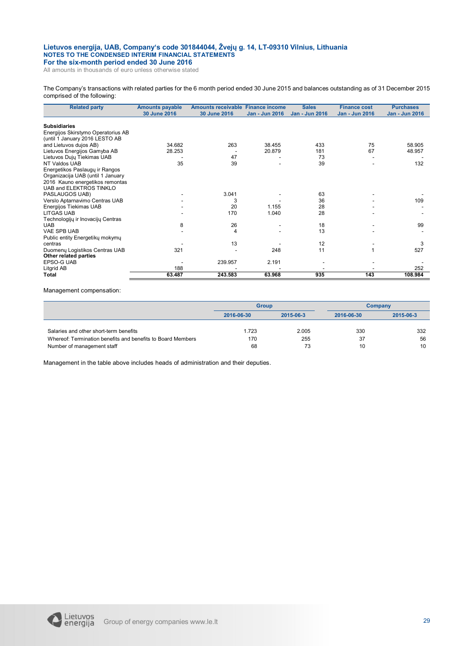All amounts in thousands of euro unless otherwise stated

The Company's transactions with related parties for the 6 month period ended 30 June 2015 and balances outstanding as of 31 December 2015 comprised of the following:

| <b>Related party</b>               | <b>Amounts payable</b> | Amounts receivable Finance income |                | <b>Sales</b>   | <b>Finance cost</b>   | <b>Purchases</b> |
|------------------------------------|------------------------|-----------------------------------|----------------|----------------|-----------------------|------------------|
|                                    | 30 June 2016           | 30 June 2016                      | Jan - Jun 2016 | Jan - Jun 2016 | <b>Jan - Jun 2016</b> | Jan - Jun 2016   |
|                                    |                        |                                   |                |                |                       |                  |
| <b>Subsidiaries</b>                |                        |                                   |                |                |                       |                  |
| Energijos Skirstymo Operatorius AB |                        |                                   |                |                |                       |                  |
| (until 1 January 2016 LESTO AB     |                        |                                   |                |                |                       |                  |
| and Lietuvos dujos AB)             | 34.682                 | 263                               | 38.455         | 433            | 75                    | 58.905           |
| Lietuvos Energijos Gamyba AB       | 28.253                 |                                   | 20.879         | 181            | 67                    | 48.957           |
| Lietuvos Dujų Tiekimas UAB         |                        | 47                                |                | 73             |                       |                  |
| NT Valdos UAB                      | 35                     | 39                                |                | 39             |                       | 132              |
| Energetikos Paslaugų ir Rangos     |                        |                                   |                |                |                       |                  |
| Organizacija UAB (until 1 January  |                        |                                   |                |                |                       |                  |
| 2016 Kauno energetikos remontas    |                        |                                   |                |                |                       |                  |
| UAB and ELEKTROS TINKLO            |                        |                                   |                |                |                       |                  |
| PASLAUGOS UAB)                     |                        | 3.041                             |                | 63             |                       |                  |
| Verslo Aptarnavimo Centras UAB     |                        | 3                                 |                | 36             |                       | 109              |
| Energijos Tiekimas UAB             |                        | 20                                | 1.155          | 28             |                       |                  |
| <b>LITGAS UAB</b>                  |                        | 170                               | 1.040          | 28             |                       |                  |
| Technologijų ir Inovacijų Centras  |                        |                                   |                |                |                       |                  |
| <b>UAB</b>                         | 8                      | 26                                |                | 18             |                       | 99               |
| <b>VAE SPB UAB</b>                 |                        | 4                                 |                | 13             |                       |                  |
| Public entity Energetiky mokymy    |                        |                                   |                |                |                       |                  |
| centras                            |                        | 13                                |                | 12             |                       | 3                |
| Duomenų Logistikos Centras UAB     | 321                    |                                   | 248            | 11             |                       | 527              |
| Other related parties              |                        |                                   |                |                |                       |                  |
| <b>EPSO-G UAB</b>                  |                        | 239.957                           | 2.191          |                |                       |                  |
| Litgrid AB                         | 188                    |                                   |                |                |                       | 252              |
| <b>Total</b>                       | 63.487                 | 243.583                           | 63.968         | 935            | 143                   | 108.984          |
|                                    |                        |                                   |                |                |                       |                  |

Management compensation:

|                                                             | <b>Group</b>            |       | Company    |           |  |
|-------------------------------------------------------------|-------------------------|-------|------------|-----------|--|
|                                                             | 2015-06-3<br>2016-06-30 |       | 2016-06-30 | 2015-06-3 |  |
|                                                             |                         |       |            |           |  |
| Salaries and other short-term benefits                      | 1.723                   | 2.005 | 330        | 332       |  |
| Whereof: Termination benefits and benefits to Board Members | 170                     | 255   | 37         | 56        |  |
| Number of management staff                                  | 68                      | 73    | 10         | 10        |  |

Management in the table above includes heads of administration and their deputies.

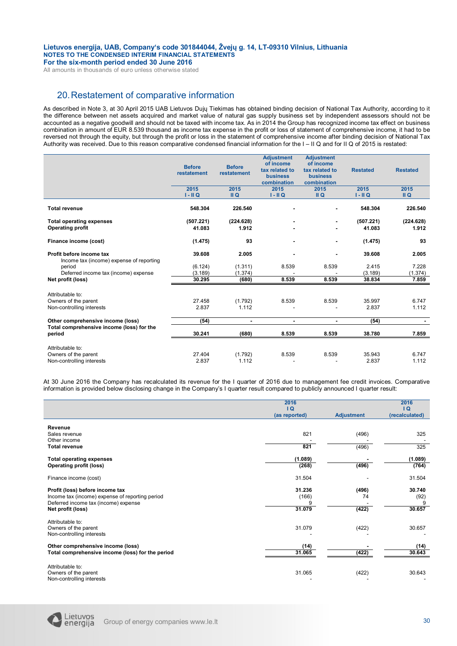All amounts in thousands of euro unless otherwise stated

### 20.Restatement of comparative information

As described in Note 3, at 30 April 2015 UAB Lietuvos Dujų Tiekimas has obtained binding decision of National Tax Authority, according to it the difference between net assets acquired and market value of natural gas supply business set by independent assessors should not be accounted as a negative goodwill and should not be taxed with income tax. As in 2014 the Group has recognized income tax effect on business combination in amount of EUR 8.539 thousand as income tax expense in the profit or loss of statement of comprehensive income, it had to be reversed not through the equity, but through the profit or loss in the statement of comprehensive income after binding decision of National Tax Authority was received. Due to this reason comparative condensed financial information for the I – II Q and for II Q of 2015 is restated:

|                                                                      | <b>Before</b><br>restatement | <b>Before</b><br>restatement | <b>Adjustment</b><br>of income<br>tax related to<br><b>business</b><br>combination | <b>Adjustment</b><br>of income<br>tax related to<br><b>business</b><br>combination | <b>Restated</b> | <b>Restated</b> |
|----------------------------------------------------------------------|------------------------------|------------------------------|------------------------------------------------------------------------------------|------------------------------------------------------------------------------------|-----------------|-----------------|
|                                                                      | 2015                         | 2015                         | 2015                                                                               | 2015                                                                               | 2015            | 2015            |
|                                                                      | $I - II Q$                   | II Q                         | $I - II Q$                                                                         | II Q                                                                               | $I - II Q$      | II Q            |
| <b>Total revenue</b>                                                 | 548.304                      | 226.540                      |                                                                                    | ٠                                                                                  | 548.304         | 226.540         |
| <b>Total operating expenses</b>                                      | (507.221)                    | (224.628)                    |                                                                                    |                                                                                    | (507.221)       | (224.628)       |
| <b>Operating profit</b>                                              | 41.083                       | 1.912                        |                                                                                    |                                                                                    | 41.083          | 1.912           |
| Finance income (cost)                                                | (1.475)                      | 93                           | ٠                                                                                  | $\blacksquare$                                                                     | (1.475)         | 93              |
| Profit before income tax<br>Income tax (income) expense of reporting | 39.608                       | 2.005                        |                                                                                    | ٠                                                                                  | 39.608          | 2.005           |
| period                                                               | (6.124)                      | (1.311)                      | 8.539                                                                              | 8.539                                                                              | 2.415           | 7.228           |
| Deferred income tax (income) expense                                 | (3.189)                      | (1.374)                      |                                                                                    |                                                                                    | (3.189)         | (1.374)         |
| Net profit (loss)                                                    | 30.295                       | (680)                        | 8.539                                                                              | 8.539                                                                              | 38.834          | 7.859           |
| Attributable to:                                                     |                              |                              |                                                                                    |                                                                                    |                 |                 |
| Owners of the parent                                                 | 27.458                       | (1.792)                      | 8.539                                                                              | 8.539                                                                              | 35.997          | 6.747           |
| Non-controlling interests                                            | 2.837                        | 1.112                        |                                                                                    |                                                                                    | 2.837           | 1.112           |
| Other comprehensive income (loss)                                    | (54)                         | $\blacksquare$               | $\blacksquare$                                                                     | ٠                                                                                  | (54)            |                 |
| Total comprehensive income (loss) for the<br>period                  | 30.241                       | (680)                        | 8.539                                                                              | 8.539                                                                              | 38.780          | 7.859           |
| Attributable to:                                                     |                              |                              |                                                                                    |                                                                                    |                 |                 |
| Owners of the parent                                                 | 27.404                       | (1.792)                      | 8.539                                                                              | 8.539                                                                              | 35.943          | 6.747           |
| Non-controlling interests                                            | 2.837                        | 1.112                        |                                                                                    |                                                                                    | 2.837           | 1.112           |

At 30 June 2016 the Company has recalculated its revenue for the I quarter of 2016 due to management fee credit invoices. Comparative information is provided below disclosing change in the Company's I quarter result compared to publicly announced I quarter result:

|                                                                                         | 2016          | $\overline{a}$    |                      |  |
|-----------------------------------------------------------------------------------------|---------------|-------------------|----------------------|--|
|                                                                                         | (as reported) | <b>Adjustment</b> | Q <br>(recalculated) |  |
| Revenue                                                                                 |               |                   |                      |  |
| Sales revenue<br>Other income                                                           | 821           | (496)             | 325                  |  |
| <b>Total revenue</b>                                                                    | 821           | (496)             | 325                  |  |
| <b>Total operating expenses</b>                                                         | (1.089)       |                   | (1.089)              |  |
| <b>Operating profit (loss)</b>                                                          | (268)         | (496)             | (764)                |  |
| Finance income (cost)                                                                   | 31.504        |                   | 31.504               |  |
| Profit (loss) before income tax                                                         | 31.236        | (496)             | 30.740               |  |
| Income tax (income) expense of reporting period<br>Deferred income tax (income) expense | (166)         | 74                | (92)                 |  |
| Net profit (loss)                                                                       | 31.079        | (422)             | 30.657               |  |
| Attributable to:                                                                        |               |                   |                      |  |
| Owners of the parent<br>Non-controlling interests                                       | 31.079        | (422)             | 30.657               |  |
| Other comprehensive income (loss)                                                       | (14)          |                   | (14)                 |  |
| Total comprehensive income (loss) for the period                                        | 31.065        | (422)             | 30.643               |  |
| Attributable to:                                                                        |               |                   |                      |  |
| Owners of the parent<br>Non-controlling interests                                       | 31.065        | (422)             | 30.643               |  |

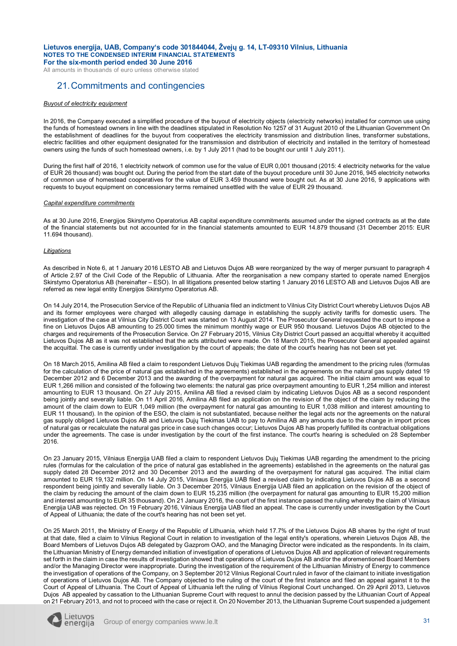All amounts in thousands of euro unless otherwise stated

### 21.Commitments and contingencies

### *Buyout of electricity equipment*

In 2016, the Company executed a simplified procedure of the buyout of electricity objects (electricity networks) installed for common use using the funds of homestead owners in line with the deadlines stipulated in Resolution No 1257 of 31 August 2010 of the Lithuanian Government On the establishment of deadlines for the buyout from cooperatives the electricity transmission and distribution lines, transformer substations, electric facilities and other equipment designated for the transmission and distribution of electricity and installed in the territory of homestead owners using the funds of such homestead owners, i.e. by 1 July 2011 (had to be bought our until 1 July 2011).

During the first half of 2016, 1 electricity network of common use for the value of EUR 0,001 thousand (2015: 4 electricity networks for the value of EUR 26 thousand) was bought out. During the period from the start date of the buyout procedure until 30 June 2016, 945 electricity networks of common use of homestead cooperatives for the value of EUR 3.459 thousand were bought out. As at 30 June 2016, 9 applications with requests to buyout equipment on concessionary terms remained unsettled with the value of EUR 29 thousand.

#### *Capital expenditure commitments*

As at 30 June 2016, Energijos Skirstymo Operatorius AB capital expenditure commitments assumed under the signed contracts as at the date of the financial statements but not accounted for in the financial statements amounted to EUR 14.879 thousand (31 December 2015: EUR 11.694 thousand).

#### *Litigations*

As described in Note 6, at 1 January 2016 LESTO AB and Lietuvos Dujos AB were reorganized by the way of merger pursuant to paragraph 4 of Article 2.97 of the Civil Code of the Republic of Lithuania. After the reorganisation a new company started to operate named Energijos Skirstymo Operatorius AB (hereinafter – ESO). In all litigations presented below starting 1 January 2016 LESTO AB and Lietuvos Dujos AB are referred as new legal entity Energijos Skirstymo Operatorius AB.

On 14 July 2014, the Prosecution Service of the Republic of Lithuania filed an indictment to Vilnius City District Court whereby Lietuvos Dujos AB and its former employees were charged with allegedly causing damage in establishing the supply activity tariffs for domestic users. The investigation of the case at Vilnius City District Court was started on 13 August 2014. The Prosecutor General requested the court to impose a fine on Lietuvos Dujos AB amounting to 25.000 times the minimum monthly wage or EUR 950 thousand. Lietuvos Dujos AB objected to the charges and requirements of the Prosecution Service. On 27 February 2015, Vilnius City District Court passed an acquittal whereby it acquitted Lietuvos Dujos AB as it was not established that the acts attributed were made. On 18 March 2015, the Prosecutor General appealed against the acquittal. The case is currently under investigation by the court of appeals; the date of the court's hearing has not been set yet.

On 18 March 2015, Amilina AB filed a claim to respondent Lietuvos Dujų Tiekimas UAB regarding the amendment to the pricing rules (formulas for the calculation of the price of natural gas established in the agreements) established in the agreements on the natural gas supply dated 19 December 2012 and 6 December 2013 and the awarding of the overpayment for natural gas acquired. The initial claim amount was equal to EUR 1,266 million and consisted of the following two elements: the natural gas price overpayment amounting to EUR 1,254 million and interest amounting to EUR 13 thousand. On 27 July 2015, Amilina AB filed a revised claim by indicating Lietuvos Dujos AB as a second respondent being jointly and severally liable. On 11 April 2016, Amilina AB filed an application on the revision of the object of the claim by reducing the amount of the claim down to EUR 1,049 million (the overpayment for natural gas amounting to EUR 1,038 million and interest amounting to EUR 11 thousand). In the opinion of the ESO, the claim is not substantiated, because neither the legal acts nor the agreements on the natural gas supply obliged Lietuvos Dujos AB and Lietuvos Dujų Tiekimas UAB to pay to Amilina AB any amounts due to the change in import prices of natural gas or recalculate the natural gas price in case such changes occur; Lietuvos Dujos AB has properly fulfilled its contractual obligations under the agreements. The case is under investigation by the court of the first instance. The court's hearing is scheduled on 28 September 2016.

On 23 January 2015, Vilniaus Energija UAB filed a claim to respondent Lietuvos Dujų Tiekimas UAB regarding the amendment to the pricing rules (formulas for the calculation of the price of natural gas established in the agreements) established in the agreements on the natural gas supply dated 28 December 2012 and 30 December 2013 and the awarding of the overpayment for natural gas acquired. The initial claim amounted to EUR 19,132 million. On 14 July 2015, Vilniaus Energija UAB filed a revised claim by indicating Lietuvos Dujos AB as a second respondent being jointly and severally liable. On 3 December 2015, Vilniaus Energija UAB filed an application on the revision of the object of the claim by reducing the amount of the claim down to EUR 15,235 million (the overpayment for natural gas amounting to EUR 15,200 million and interest amounting to EUR 35 thousand). On 21 January 2016, the court of the first instance passed the ruling whereby the claim of Vilniaus Energija UAB was rejected. On 19 February 2016, Vilniaus Energija UAB filed an appeal. The case is currently under investigation by the Court of Appeal of Lithuania; the date of the court's hearing has not been set yet.

On 25 March 2011, the Ministry of Energy of the Republic of Lithuania, which held 17.7% of the Lietuvos Dujos AB shares by the right of trust at that date, filed a claim to Vilnius Regional Court in relation to investigation of the legal entity's operations, wherein Lietuvos Dujos AB, the Board Members of Lietuvos Dujos AB delegated by Gazprom OAO, and the Managing Director were indicated as the respondents. In its claim, the Lithuanian Ministry of Energy demanded initiation of investigation of operations of Lietuvos Dujos AB and application of relevant requirements set forth in the claim in case the results of investigation showed that operations of Lietuvos Dujos AB and/or the aforementioned Board Members and/or the Managing Director were inappropriate. During the investigation of the requirement of the Lithuanian Ministry of Energy to commence the investigation of operations of the Company, on 3 September 2012 Vilnius Regional Court ruled in favor of the claimant to initiate investigation of operations of Lietuvos Dujos AB. The Company objected to the ruling of the court of the first instance and filed an appeal against it to the Court of Appeal of Lithuania. The Court of Appeal of Lithuania left the ruling of Vilnius Regional Court unchanged. On 29 April 2013, Lietuvos Dujos AB appealed by cassation to the Lithuanian Supreme Court with request to annul the decision passed by the Lithuanian Court of Appeal on 21 February 2013, and not to proceed with the case or reject it. On 20 November 2013, the Lithuanian Supreme Court suspended a judgement

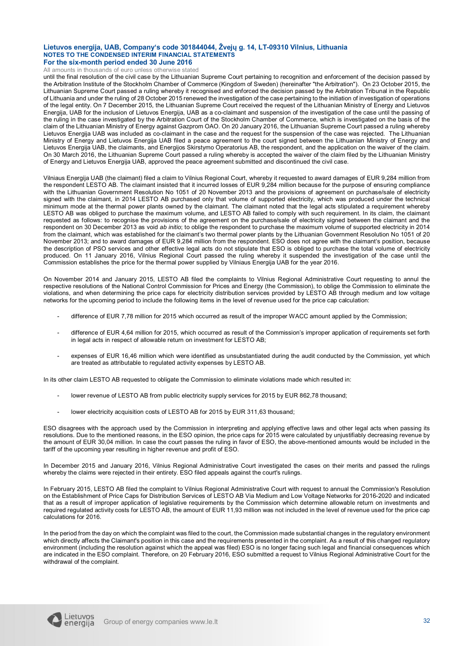All amounts in thousands of euro unless otherwise stated

until the final resolution of the civil case by the Lithuanian Supreme Court pertaining to recognition and enforcement of the decision passed by the Arbitration Institute of the Stockholm Chamber of Commerce (Kingdom of Sweden) (hereinafter "the Arbitration"). On 23 October 2015, the Lithuanian Supreme Court passed a ruling whereby it recognised and enforced the decision passed by the Arbitration Tribunal in the Republic of Lithuania and under the ruling of 28 October 2015 renewed the investigation of the case pertaining to the initiation of investigation of operations of the legal entity. On 7 December 2015, the Lithuanian Supreme Court received the request of the Lithuanian Ministry of Energy and Lietuvos Energija, UAB for the inclusion of Lietuvos Energija, UAB as a co-claimant and suspension of the investigation of the case until the passing of the ruling in the case investigated by the Arbitration Court of the Stockholm Chamber of Commerce, which is investigated on the basis of the claim of the Lithuanian Ministry of Energy against Gazprom OAO. On 20 January 2016, the Lithuanian Supreme Court passed a ruling whereby Lietuvos Energija UAB was included as co-claimant in the case and the request for the suspension of the case was rejected. The Lithuanian Ministry of Energy and Lietuvos Energija UAB filed a peace agreement to the court signed between the Lithuanian Ministry of Energy and Lietuvos Energija UAB, the claimants, and Energijos Skirstymo Operatorius AB, the respondent, and the application on the waiver of the claim. On 30 March 2016, the Lithuanian Supreme Court passed a ruling whereby is accepted the waiver of the claim filed by the Lithuanian Ministry of Energy and Lietuvos Energija UAB, approved the peace agreement submitted and discontinued the civil case.

Vilniaus Energija UAB (the claimant) filed a claim to Vilnius Regional Court, whereby it requested to award damages of EUR 9,284 million from the respondent LESTO AB. The claimant insisted that it incurred losses of EUR 9,284 million because for the purpose of ensuring compliance with the Lithuanian Government Resolution No 1051 of 20 November 2013 and the provisions of agreement on purchase/sale of electricity signed with the claimant, in 2014 LESTO AB purchased only that volume of supported electricity, which was produced under the technical minimum mode at the thermal power plants owned by the claimant. The claimant noted that the legal acts stipulated a requirement whereby LESTO AB was obliged to purchase the maximum volume, and LESTO AB failed to comply with such requirement. In its claim, the claimant requested as follows: to recognise the provisions of the agreement on the purchase/sale of electricity signed between the claimant and the respondent on 30 December 2013 as void *ab initio*; to oblige the respondent to purchase the maximum volume of supported electricity in 2014 from the claimant, which was established for the claimant's two thermal power plants by the Lithuanian Government Resolution No 1051 of 20 November 2013; and to award damages of EUR 9,284 million from the respondent. ESO does not agree with the claimant's position, because the description of PSO services and other effective legal acts do not stipulate that ESO is obliged to purchase the total volume of electricity produced. On 11 January 2016, Vilnius Regional Court passed the ruling whereby it suspended the investigation of the case until the Commission establishes the price for the thermal power supplied by Vilniaus Energija UAB for the year 2016.

On November 2014 and January 2015, LESTO AB filed the complaints to Vilnius Regional Administrative Court requesting to annul the respective resolutions of the National Control Commission for Prices and Energy (the Commission), to oblige the Commission to eliminate the violations, and when determining the price caps for electricity distribution services provided by LESTO AB through medium and low voltage networks for the upcoming period to include the following items in the level of revenue used for the price cap calculation:

- difference of EUR 7,78 million for 2015 which occurred as result of the improper WACC amount applied by the Commission;
- difference of EUR 4,64 million for 2015, which occurred as result of the Commission's improper application of requirements set forth in legal acts in respect of allowable return on investment for LESTO AB;
- expenses of EUR 16,46 million which were identified as unsubstantiated during the audit conducted by the Commission, yet which are treated as attributable to regulated activity expenses by LESTO AB.

In its other claim LESTO AB requested to obligate the Commission to eliminate violations made which resulted in:

- lower revenue of LESTO AB from public electricity supply services for 2015 by EUR 862,78 thousand;
- lower electricity acquisition costs of LESTO AB for 2015 by EUR 311,63 thousand;

ESO disagrees with the approach used by the Commission in interpreting and applying effective laws and other legal acts when passing its resolutions. Due to the mentioned reasons, in the ESO opinion, the price caps for 2015 were calculated by unjustifiably decreasing revenue by the amount of EUR 30,04 million. In case the court passes the ruling in favor of ESO, the above-mentioned amounts would be included in the tariff of the upcoming year resulting in higher revenue and profit of ESO.

In December 2015 and January 2016, Vilnius Regional Administrative Court investigated the cases on their merits and passed the rulings whereby the claims were rejected in their entirety. ESO filed appeals against the court's rulings.

In February 2015, LESTO AB filed the complaint to Vilnius Regional Administrative Court with request to annual the Commission's Resolution on the Establishment of Price Caps for Distribution Services of LESTO AB Via Medium and Low Voltage Networks for 2016-2020 and indicated that as a result of improper application of legislative requirements by the Commission which determine allowable return on investments and required regulated activity costs for LESTO AB, the amount of EUR 11,93 million was not included in the level of revenue used for the price cap calculations for 2016.

In the period from the day on which the complaint was filed to the court, the Commission made substantial changes in the regulatory environment which directly affects the Claimant's position in this case and the requirements presented in the complaint. As a result of this changed regulatory environment (including the resolution against which the appeal was filed) ESO is no longer facing such legal and financial consequences which are indicated in the ESO complaint. Therefore, on 20 February 2016, ESO submitted a request to Vilnius Regional Administrative Court for the withdrawal of the complaint.